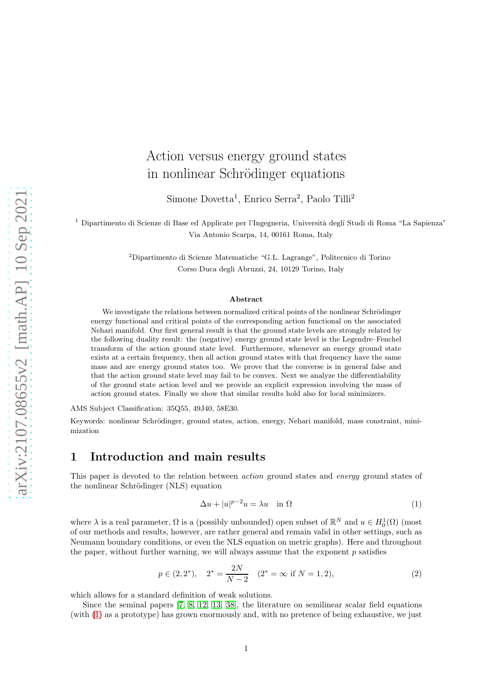# Action versus energy ground states in nonlinear Schrödinger equations

Simone Dovetta<sup>1</sup>, Enrico Serra<sup>2</sup>, Paolo Tilli<sup>2</sup>

<sup>1</sup> Dipartimento di Scienze di Base ed Applicate per l'Ingegneria, Università degli Studi di Roma "La Sapienza" Via Antonio Scarpa, 14, 00161 Roma, Italy

> <sup>2</sup>Dipartimento di Scienze Matematiche "G.L. Lagrange", Politecnico di Torino Corso Duca degli Abruzzi, 24, 10129 Torino, Italy

#### Abstract

We investigate the relations between normalized critical points of the nonlinear Schrödinger energy functional and critical points of the corresponding action functional on the associated Nehari manifold. Our first general result is that the ground state levels are strongly related by the following duality result: the (negative) energy ground state level is the Legendre–Fenchel transform of the action ground state level. Furthermore, whenever an energy ground state exists at a certain frequency, then all action ground states with that frequency have the same mass and are energy ground states too. We prove that the converse is in general false and that the action ground state level may fail to be convex. Next we analyze the differentiability of the ground state action level and we provide an explicit expression involving the mass of action ground states. Finally we show that similar results hold also for local minimizers.

AMS Subject Classification: 35Q55, 49J40, 58E30.

Keywords: nonlinear Schrödinger, ground states, action, energy, Nehari manifold, mass constraint, minimization

### 1 Introduction and main results

This paper is devoted to the relation between *action* ground states and *energy* ground states of the nonlinear Schrödinger (NLS) equation

<span id="page-0-0"></span>
$$
\Delta u + |u|^{p-2}u = \lambda u \quad \text{in } \Omega \tag{1}
$$

where  $\lambda$  is a real parameter,  $\Omega$  is a (possibly unbounded) open subset of  $\mathbb{R}^N$  and  $u \in H_0^1(\Omega)$  (most of our methods and results, however, are rather general and remain valid in other settings, such as Neumann boundary conditions, or even the NLS equation on metric graphs). Here and throughout the paper, without further warning, we will always assume that the exponent  $p$  satisfies

$$
p \in (2, 2^*), \quad 2^* = \frac{2N}{N-2} \quad (2^* = \infty \text{ if } N = 1, 2), \tag{2}
$$

which allows for a standard definition of weak solutions.

Since the seminal papers [\[7,](#page-22-0) [8,](#page-22-1) [12,](#page-22-2) [13,](#page-22-3) [38\]](#page-24-0), the literature on semilinear scalar field equations (with [\(1\)](#page-0-0) as a prototype) has grown enormously and, with no pretence of being exhaustive, we just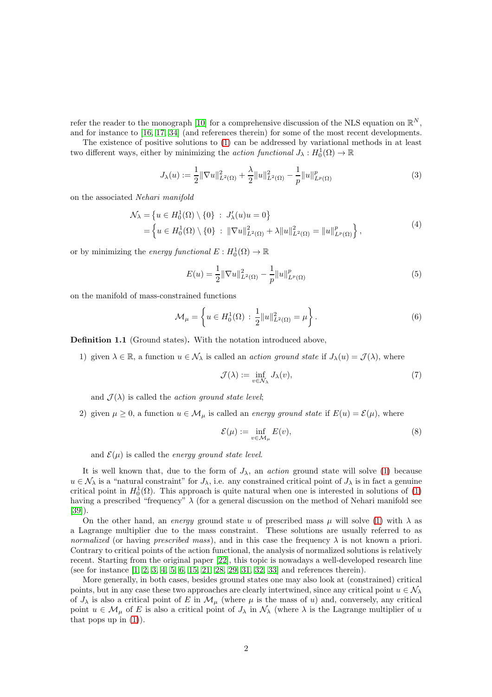refer the reader to the monograph [\[10\]](#page-22-4) for a comprehensive discussion of the NLS equation on  $\mathbb{R}^N$ , and for instance to [\[16,](#page-23-0) [17,](#page-23-1) [34\]](#page-24-1) (and references therein) for some of the most recent developments.

The existence of positive solutions to [\(1\)](#page-0-0) can be addressed by variational methods in at least two different ways, either by minimizing the *action functional*  $J_{\lambda}: H_0^1(\Omega) \to \mathbb{R}$ 

$$
J_{\lambda}(u) := \frac{1}{2} \|\nabla u\|_{L^{2}(\Omega)}^{2} + \frac{\lambda}{2} \|u\|_{L^{2}(\Omega)}^{2} - \frac{1}{p} \|u\|_{L^{p}(\Omega)}^{p}
$$
(3)

on the associated Nehari manifold

$$
\mathcal{N}_{\lambda} = \left\{ u \in H_0^1(\Omega) \setminus \{0\} : J'_{\lambda}(u)u = 0 \right\} \n= \left\{ u \in H_0^1(\Omega) \setminus \{0\} : ||\nabla u||^2_{L^2(\Omega)} + \lambda ||u||^2_{L^2(\Omega)} = ||u||^p_{L^p(\Omega)} \right\},
$$
\n(4)

or by minimizing the *energy functional*  $E: H_0^1(\Omega) \to \mathbb{R}$ 

$$
E(u) = \frac{1}{2} \|\nabla u\|_{L^2(\Omega)}^2 - \frac{1}{p} \|u\|_{L^p(\Omega)}^p
$$
\n(5)

on the manifold of mass-constrained functions

<span id="page-1-2"></span>
$$
\mathcal{M}_{\mu} = \left\{ u \in H_0^1(\Omega) : \frac{1}{2} ||u||_{L^2(\Omega)}^2 = \mu \right\}.
$$
 (6)

Definition 1.1 (Ground states). With the notation introduced above,

1) given  $\lambda \in \mathbb{R}$ , a function  $u \in \mathcal{N}_{\lambda}$  is called an *action ground state* if  $J_{\lambda}(u) = \mathcal{J}(\lambda)$ , where

<span id="page-1-0"></span>
$$
\mathcal{J}(\lambda) := \inf_{v \in \mathcal{N}_{\lambda}} J_{\lambda}(v),\tag{7}
$$

and  $\mathcal{J}(\lambda)$  is called the *action ground state level*;

2) given  $\mu \geq 0$ , a function  $u \in M_{\mu}$  is called an energy ground state if  $E(u) = \mathcal{E}(\mu)$ , where

<span id="page-1-1"></span>
$$
\mathcal{E}(\mu) := \inf_{v \in \mathcal{M}_{\mu}} E(v),\tag{8}
$$

and  $\mathcal{E}(\mu)$  is called the *energy ground state level*.

It is well known that, due to the form of  $J_{\lambda}$ , an *action* ground state will solve [\(1\)](#page-0-0) because  $u \in \mathcal{N}_{\lambda}$  is a "natural constraint" for  $J_{\lambda}$ , i.e. any constrained critical point of  $J_{\lambda}$  is in fact a genuine critical point in  $H_0^1(\Omega)$ . This approach is quite natural when one is interested in solutions of [\(1\)](#page-0-0) having a prescribed "frequency"  $\lambda$  (for a general discussion on the method of Nehari manifold see [\[39\]](#page-24-2)).

On the other hand, an energy ground state u of prescribed mass  $\mu$  will solve [\(1\)](#page-0-0) with  $\lambda$  as a Lagrange multiplier due to the mass constraint. These solutions are usually referred to as normalized (or having prescribed mass), and in this case the frequency  $\lambda$  is not known a priori. Contrary to critical points of the action functional, the analysis of normalized solutions is relatively recent. Starting from the original paper [\[22\]](#page-23-2), this topic is nowadays a well-developed research line (see for instance [\[1,](#page-22-5) [2,](#page-22-6) [3,](#page-22-7) [4,](#page-22-8) [5,](#page-22-9) [6,](#page-22-10) [15,](#page-23-3) [21,](#page-23-4) [28,](#page-23-5) [29,](#page-23-6) [31,](#page-23-7) [32,](#page-23-8) [33\]](#page-24-3) and references therein).

More generally, in both cases, besides ground states one may also look at (constrained) critical points, but in any case these two approaches are clearly intertwined, since any critical point  $u \in \mathcal{N}_{\lambda}$ of  $J_{\lambda}$  is also a critical point of E in  $\mathcal{M}_{\mu}$  (where  $\mu$  is the mass of u) and, conversely, any critical point  $u \in \mathcal{M}_{\mu}$  of E is also a critical point of  $J_{\lambda}$  in  $\mathcal{N}_{\lambda}$  (where  $\lambda$  is the Lagrange multiplier of u that pops up in  $(1)$ ).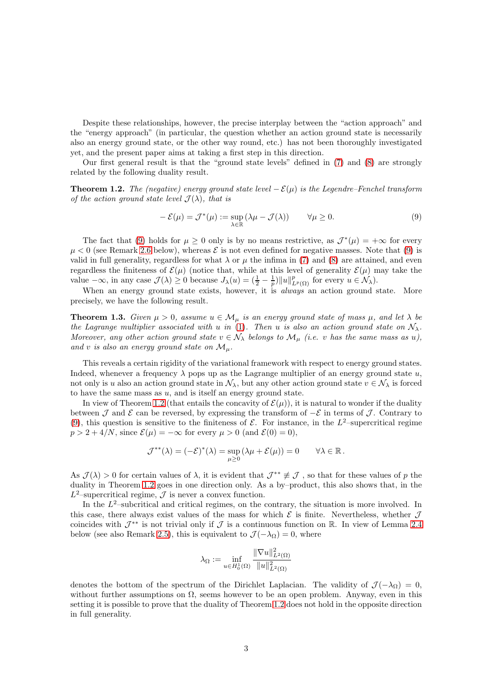Despite these relationships, however, the precise interplay between the "action approach" and the "energy approach" (in particular, the question whether an action ground state is necessarily also an energy ground state, or the other way round, etc.) has not been thoroughly investigated yet, and the present paper aims at taking a first step in this direction.

Our first general result is that the "ground state levels" defined in [\(7\)](#page-1-0) and [\(8\)](#page-1-1) are strongly related by the following duality result.

<span id="page-2-1"></span>**Theorem 1.2.** The (negative) energy ground state level  $-\mathcal{E}(\mu)$  is the Legendre–Fenchel transform of the action ground state level  $\mathcal{J}(\lambda)$ , that is

<span id="page-2-0"></span>
$$
-\mathcal{E}(\mu) = \mathcal{J}^*(\mu) := \sup_{\lambda \in \mathbb{R}} (\lambda \mu - \mathcal{J}(\lambda)) \qquad \forall \mu \ge 0.
$$
 (9)

The fact that [\(9\)](#page-2-0) holds for  $\mu \geq 0$  only is by no means restrictive, as  $\mathcal{J}^*(\mu) = +\infty$  for every  $\mu < 0$  (see Remark [2.6](#page-9-0) below), whereas  $\mathcal E$  is not even defined for negative masses. Note that [\(9\)](#page-2-0) is valid in full generality, regardless for what  $\lambda$  or  $\mu$  the infima in [\(7\)](#page-1-0) and [\(8\)](#page-1-1) are attained, and even regardless the finiteness of  $\mathcal{E}(\mu)$  (notice that, while at this level of generality  $\mathcal{E}(\mu)$  may take the value  $-\infty$ , in any case  $\mathcal{J}(\lambda) \geq 0$  because  $J_{\lambda}(u) = \left(\frac{1}{2} - \frac{1}{p}\right) ||u||_{L^p(\Omega)}^p$  for every  $u \in \mathcal{N}_{\lambda}$ .

When an energy ground state exists, however, it is *always* an action ground state. More precisely, we have the following result.

<span id="page-2-2"></span>**Theorem 1.3.** Given  $\mu > 0$ , assume  $u \in M_{\mu}$  is an energy ground state of mass  $\mu$ , and let  $\lambda$  be the Lagrange multiplier associated with u in [\(1\)](#page-0-0). Then u is also an action ground state on  $\mathcal{N}_{\lambda}$ . Moreover, any other action ground state  $v \in \mathcal{N}_{\lambda}$  belongs to  $\mathcal{M}_{\mu}$  (i.e. v has the same mass as u), and v is also an energy ground state on  $\mathcal{M}_{\mu}$ .

This reveals a certain rigidity of the variational framework with respect to energy ground states. Indeed, whenever a frequency  $\lambda$  pops up as the Lagrange multiplier of an energy ground state u, not only is u also an action ground state in  $\mathcal{N}_{\lambda}$ , but any other action ground state  $v \in \mathcal{N}_{\lambda}$  is forced to have the same mass as  $u$ , and is itself an energy ground state.

In view of Theorem [1.2](#page-2-1) (that entails the concavity of  $\mathcal{E}(\mu)$ ), it is natural to wonder if the duality between J and E can be reversed, by expressing the transform of  $-\mathcal{E}$  in terms of J. Contrary to [\(9\)](#page-2-0), this question is sensitive to the finiteness of  $\mathcal{E}$ . For instance, in the  $L^2$ -supercritical regime  $p > 2 + 4/N$ , since  $\mathcal{E}(\mu) = -\infty$  for every  $\mu > 0$  (and  $\mathcal{E}(0) = 0$ ),

$$
\mathcal{J}^{**}(\lambda) = (-\mathcal{E})^*(\lambda) = \sup_{\mu \geq 0} (\lambda \mu + \mathcal{E}(\mu)) = 0 \quad \forall \lambda \in \mathbb{R}.
$$

As  $\mathcal{J}(\lambda) > 0$  for certain values of  $\lambda$ , it is evident that  $\mathcal{J}^{**} \not\equiv \mathcal{J}$ , so that for these values of p the duality in Theorem [1.2](#page-2-1) goes in one direction only. As a by–product, this also shows that, in the  $L^2$ -supercritical regime,  $\cal J$  is never a convex function.

In the  $L^2$ -subcritical and critical regimes, on the contrary, the situation is more involved. In this case, there always exist values of the mass for which  $\mathcal E$  is finite. Nevertheless, whether  $\mathcal J$ coincides with  $\mathcal{J}^{**}$  is not trivial only if  $\mathcal J$  is a continuous function on R. In view of Lemma [2.4](#page-7-0) below (see also Remark [2.5\)](#page-9-1), this is equivalent to  $\mathcal{J}(-\lambda_{\Omega})=0$ , where

$$
\lambda_\Omega:=\inf_{u\in H^1_0(\Omega)}\frac{\|\nabla u\|^2_{L^2(\Omega)}}{\|u\|^2_{L^2(\Omega)}}
$$

denotes the bottom of the spectrum of the Dirichlet Laplacian. The validity of  $\mathcal{J}(-\lambda_{\Omega})=0$ , without further assumptions on  $\Omega$ , seems however to be an open problem. Anyway, even in this setting it is possible to prove that the duality of Theorem [1.2](#page-2-1) does not hold in the opposite direction in full generality.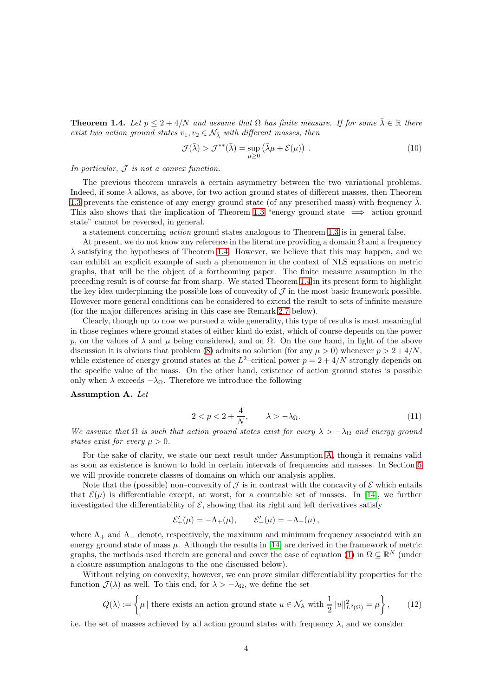<span id="page-3-0"></span>**Theorem 1.4.** Let  $p \leq 2 + 4/N$  and assume that  $\Omega$  has finite measure. If for some  $\bar{\lambda} \in \mathbb{R}$  there exist two action ground states  $v_1, v_2 \in \mathcal{N}_{\bar{\lambda}}$  with different masses, then

<span id="page-3-2"></span>
$$
\mathcal{J}(\bar{\lambda}) > \mathcal{J}^{**}(\bar{\lambda}) = \sup_{\mu \ge 0} (\bar{\lambda}\mu + \mathcal{E}(\mu)). \tag{10}
$$

In particular,  $J$  is not a convex function.

The previous theorem unravels a certain asymmetry between the two variational problems. Indeed, if some  $\lambda$  allows, as above, for two action ground states of different masses, then Theorem [1.3](#page-2-2) prevents the existence of any energy ground state (of any prescribed mass) with frequency  $\bar{\lambda}$ . This also shows that the implication of Theorem [1.3](#page-2-2) "energy ground state  $\implies$  action ground state" cannot be reversed, in general.

a statement concerning action ground states analogous to Theorem [1.3](#page-2-2) is in general false.

At present, we do not know any reference in the literature providing a domain  $\Omega$  and a frequency  $\overline{\lambda}$  satisfying the hypotheses of Theorem [1.4.](#page-3-0) However, we believe that this may happen, and we can exhibit an explicit example of such a phenomenon in the context of NLS equations on metric graphs, that will be the object of a forthcoming paper. The finite measure assumption in the preceding result is of course far from sharp. We stated Theorem [1.4](#page-3-0) in its present form to highlight the key idea underpinning the possible loss of convexity of  $\mathcal J$  in the most basic framework possible. However more general conditions can be considered to extend the result to sets of infinite measure (for the major differences arising in this case see Remark [2.7](#page-11-0) below).

Clearly, though up to now we pursued a wide generality, this type of results is most meaningful in those regimes where ground states of either kind do exist, which of course depends on the power p, on the values of  $\lambda$  and  $\mu$  being considered, and on  $\Omega$ . On the one hand, in light of the above discussion it is obvious that problem [\(8\)](#page-1-1) admits no solution (for any  $\mu > 0$ ) whenever  $p > 2 + 4/N$ , while existence of energy ground states at the  $L^2$ -critical power  $p = 2 + 4/N$  strongly depends on the specific value of the mass. On the other hand, existence of action ground states is possible only when  $\lambda$  exceeds  $-\lambda_{\Omega}$ . Therefore we introduce the following

#### <span id="page-3-1"></span>Assumption A. Let

$$
2 < p < 2 + \frac{4}{N}, \qquad \lambda > -\lambda_{\Omega}.\tag{11}
$$

We assume that  $\Omega$  is such that action ground states exist for every  $\lambda > -\lambda_{\Omega}$  and energy ground states exist for every  $u > 0$ .

For the sake of clarity, we state our next result under Assumption [A,](#page-3-1) though it remains valid as soon as existence is known to hold in certain intervals of frequencies and masses. In Section [5](#page-16-0) we will provide concrete classes of domains on which our analysis applies.

Note that the (possible) non–convexity of  $\mathcal{J}$  is in contrast with the concavity of  $\mathcal{E}$  which entails that  $\mathcal{E}(\mu)$  is differentiable except, at worst, for a countable set of masses. In [\[14\]](#page-23-9), we further investigated the differentiability of  $\mathcal{E}$ , showing that its right and left derivatives satisfy

$$
\mathcal{E}'_+(\mu) = -\Lambda_+(\mu), \qquad \mathcal{E}'_-(\mu) = -\Lambda_-(\mu),
$$

where  $\Lambda_+$  and  $\Lambda_-$  denote, respectively, the maximum and minimum frequency associated with an energy ground state of mass  $\mu$ . Although the results in [\[14\]](#page-23-9) are derived in the framework of metric graphs, the methods used therein are general and cover the case of equation [\(1\)](#page-0-0) in  $\Omega \subseteq \mathbb{R}^N$  (under a closure assumption analogous to the one discussed below).

Without relying on convexity, however, we can prove similar differentiability properties for the function  $\mathcal{J}(\lambda)$  as well. To this end, for  $\lambda > -\lambda_{\Omega}$ , we define the set

<span id="page-3-3"></span>
$$
Q(\lambda) := \left\{ \mu \mid \text{there exists an action ground state } u \in \mathcal{N}_{\lambda} \text{ with } \frac{1}{2} ||u||_{L^2(\Omega)}^2 = \mu \right\},\qquad(12)
$$

i.e. the set of masses achieved by all action ground states with frequency  $\lambda$ , and we consider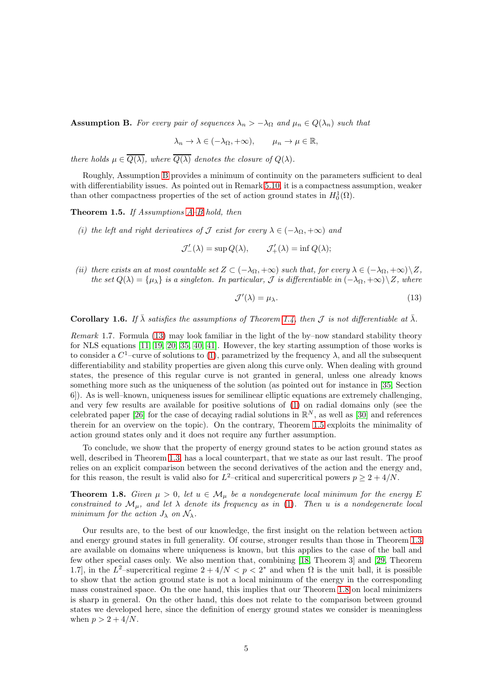<span id="page-4-0"></span>**Assumption B.** For every pair of sequences  $\lambda_n > -\lambda_{\Omega}$  and  $\mu_n \in Q(\lambda_n)$  such that

$$
\lambda_n \to \lambda \in (-\lambda_{\Omega}, +\infty), \qquad \mu_n \to \mu \in \mathbb{R},
$$

there holds  $\mu \in \overline{Q(\lambda)}$ , where  $\overline{Q(\lambda)}$  denotes the closure of  $Q(\lambda)$ .

Roughly, Assumption [B](#page-4-0) provides a minimum of continuity on the parameters sufficient to deal with differentiability issues. As pointed out in Remark [5.10,](#page-22-11) it is a compactness assumption, weaker than other compactness properties of the set of action ground states in  $H_0^1(\Omega)$ .

<span id="page-4-2"></span>**Theorem 1.5.** If [A](#page-3-1)ssumptions  $A-B$  hold, then

(i) the left and right derivatives of J exist for every  $\lambda \in (-\lambda_{\Omega}, +\infty)$  and

 $\mathcal{J}'_{-}(\lambda) = \sup Q(\lambda), \qquad \mathcal{J}'_{+}(\lambda) = \inf Q(\lambda);$ 

(ii) there exists an at most countable set  $Z \subset (-\lambda_{\Omega}, +\infty)$  such that, for every  $\lambda \in (-\lambda_{\Omega}, +\infty) \setminus Z$ , the set  $Q(\lambda) = {\mu_{\lambda}}$  is a singleton. In particular, J is differentiable in  $(-\lambda_{\Omega}, +\infty) \setminus Z$ , where

<span id="page-4-1"></span>
$$
\mathcal{J}'(\lambda) = \mu_{\lambda}.\tag{13}
$$

<span id="page-4-4"></span>**Corollary 1.6.** If  $\bar{\lambda}$  satisfies the assumptions of Theorem [1.4,](#page-3-0) then J is not differentiable at  $\bar{\lambda}$ .

Remark 1.7. Formula [\(13\)](#page-4-1) may look familiar in the light of the by–now standard stability theory for NLS equations [\[11,](#page-22-12) [19,](#page-23-10) [20,](#page-23-11) [35,](#page-24-4) [40,](#page-24-5) [41\]](#page-24-6). However, the key starting assumption of those works is to consider a  $C^1$ -curve of solutions to [\(1\)](#page-0-0), parametrized by the frequency  $\lambda$ , and all the subsequent differentiability and stability properties are given along this curve only. When dealing with ground states, the presence of this regular curve is not granted in general, unless one already knows something more such as the uniqueness of the solution (as pointed out for instance in [\[35,](#page-24-4) Section 6]). As is well–known, uniqueness issues for semilinear elliptic equations are extremely challenging, and very few results are available for positive solutions of [\(1\)](#page-0-0) on radial domains only (see the celebrated paper [\[26\]](#page-23-12) for the case of decaying radial solutions in  $\mathbb{R}^N$ , as well as [\[30\]](#page-23-13) and references therein for an overview on the topic). On the contrary, Theorem [1.5](#page-4-2) exploits the minimality of action ground states only and it does not require any further assumption.

To conclude, we show that the property of energy ground states to be action ground states as well, described in Theorem [1.3,](#page-2-2) has a local counterpart, that we state as our last result. The proof relies on an explicit comparison between the second derivatives of the action and the energy and, for this reason, the result is valid also for  $L^2$ -critical and supercritical powers  $p \geq 2 + 4/N$ .

<span id="page-4-3"></span>**Theorem 1.8.** Given  $\mu > 0$ , let  $u \in \mathcal{M}_{\mu}$  be a nondegenerate local minimum for the energy E constrained to  $\mathcal{M}_{\mu}$ , and let  $\lambda$  denote its frequency as in [\(1\)](#page-0-0). Then u is a nondegenerate local minimum for the action  $J_{\lambda}$  on  $\mathcal{N}_{\lambda}$ .

Our results are, to the best of our knowledge, the first insight on the relation between action and energy ground states in full generality. Of course, stronger results than those in Theorem [1.3](#page-2-2) are available on domains where uniqueness is known, but this applies to the case of the ball and few other special cases only. We also mention that, combining [\[18,](#page-23-14) Theorem 3] and [\[29,](#page-23-6) Theorem 1.7], in the L<sup>2</sup>-supercritical regime  $2 + 4/N < p < 2^*$  and when  $\Omega$  is the unit ball, it is possible to show that the action ground state is not a local minimum of the energy in the corresponding mass constrained space. On the one hand, this implies that our Theorem [1.8](#page-4-3) on local minimizers is sharp in general. On the other hand, this does not relate to the comparison between ground states we developed here, since the definition of energy ground states we consider is meaningless when  $p > 2 + 4/N$ .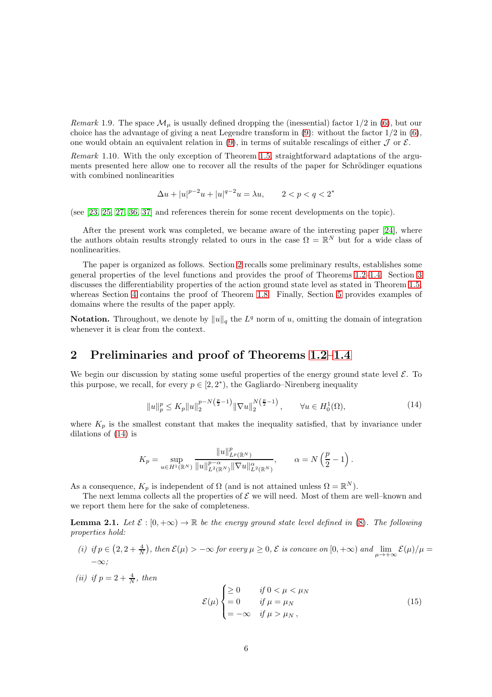Remark 1.9. The space  $\mathcal{M}_{\mu}$  is usually defined dropping the (inessential) factor  $1/2$  in [\(6\)](#page-1-2), but our choice has the advantage of giving a neat Legendre transform in  $(9)$ : without the factor  $1/2$  in  $(6)$ , one would obtain an equivalent relation in [\(9\)](#page-2-0), in terms of suitable rescalings of either  $\mathcal J$  or  $\mathcal E$ .

Remark 1.10. With the only exception of Theorem [1.5,](#page-4-2) straightforward adaptations of the arguments presented here allow one to recover all the results of the paper for Schrödinger equations with combined nonlinearities

$$
\Delta u + |u|^{p-2}u + |u|^{q-2}u = \lambda u, \qquad 2 < p < q < 2^*
$$

(see [\[23,](#page-23-15) [25,](#page-23-16) [27,](#page-23-17) [36,](#page-24-7) [37\]](#page-24-8) and references therein for some recent developments on the topic).

After the present work was completed, we became aware of the interesting paper [\[24\]](#page-23-18), where the authors obtain results strongly related to ours in the case  $\Omega = \mathbb{R}^N$  but for a wide class of nonlinearities.

The paper is organized as follows. Section [2](#page-5-0) recalls some preliminary results, establishes some general properties of the level functions and provides the proof of Theorems [1.2](#page-2-1)[–1.4.](#page-3-0) Section [3](#page-11-1) discusses the differentiability properties of the action ground state level as stated in Theorem [1.5,](#page-4-2) whereas Section [4](#page-13-0) contains the proof of Theorem [1.8.](#page-4-3) Finally, Section [5](#page-16-0) provides examples of domains where the results of the paper apply.

**Notation.** Throughout, we denote by  $||u||_q$  the  $L^q$  norm of u, omitting the domain of integration whenever it is clear from the context.

### <span id="page-5-0"></span>2 Preliminaries and proof of Theorems [1.2–](#page-2-1)[1.4](#page-3-0)

We begin our discussion by stating some useful properties of the energy ground state level  $\mathcal{E}$ . To this purpose, we recall, for every  $p \in [2, 2^*)$ , the Gagliardo–Nirenberg inequality

$$
||u||_p^p \le K_p ||u||_2^{p-N(\frac{p}{2}-1)} ||\nabla u||_2^{N(\frac{p}{2}-1)}, \qquad \forall u \in H_0^1(\Omega),
$$
\n(14)

<span id="page-5-1"></span>where  $K_p$  is the smallest constant that makes the inequality satisfied, that by invariance under dilations of [\(14\)](#page-5-1) is

$$
K_p=\sup_{u\in H^1(\mathbb{R}^N)}\frac{\|u\|_{L^p(\mathbb{R}^N)}^p}{\|u\|_{L^2(\mathbb{R}^N)}^{p-\alpha}\|\nabla u\|_{L^2(\mathbb{R}^N)}^\alpha},\qquad \alpha=N\left(\frac{p}{2}-1\right).
$$

As a consequence,  $K_p$  is independent of  $\Omega$  (and is not attained unless  $\Omega = \mathbb{R}^N$ ).

The next lemma collects all the properties of  $\mathcal E$  we will need. Most of them are well–known and we report them here for the sake of completeness.

<span id="page-5-3"></span>**Lemma 2.1.** Let  $\mathcal{E} : [0, +\infty) \to \mathbb{R}$  be the energy ground state level defined in [\(8\)](#page-1-1). The following properties hold:

- (i) if  $p \in (2, 2 + \frac{4}{N})$ , then  $\mathcal{E}(\mu) > -\infty$  for every  $\mu \geq 0$ ,  $\mathcal{E}$  is concave on  $[0, +\infty)$  and  $\lim_{\mu \to +\infty} \mathcal{E}(\mu)/\mu =$ −∞;
- (ii) if  $p = 2 + \frac{4}{N}$ , then

<span id="page-5-2"></span>
$$
\mathcal{E}(\mu) \begin{cases} \geq 0 & \text{if } 0 < \mu < \mu_N \\ = 0 & \text{if } \mu = \mu_N \\ = -\infty & \text{if } \mu > \mu_N, \end{cases}
$$
(15)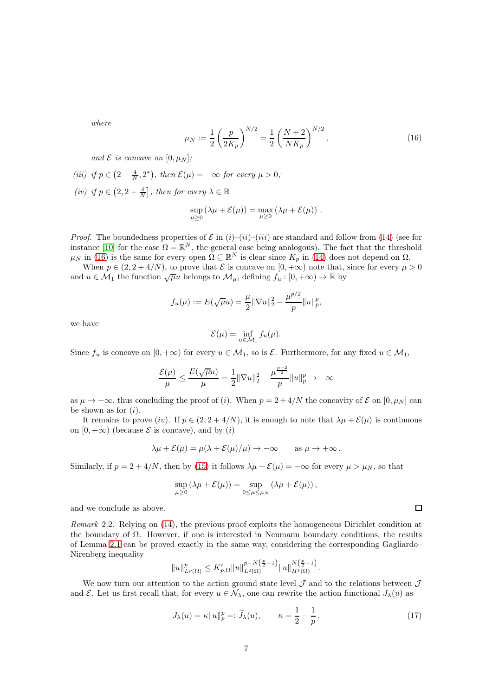where

<span id="page-6-0"></span>
$$
\mu_N := \frac{1}{2} \left( \frac{p}{2K_p} \right)^{N/2} = \frac{1}{2} \left( \frac{N+2}{NK_p} \right)^{N/2},\tag{16}
$$

and  $\mathcal E$  is concave on  $[0,\mu_N];$ 

(iii) if  $p \in \left(2 + \frac{4}{N}, 2^*\right)$ , then  $\mathcal{E}(\mu) = -\infty$  for every  $\mu > 0$ ; (iv) if  $p \in (2, 2 + \frac{4}{N}]$ , then for every  $\lambda \in \mathbb{R}$ 

$$
\sup_{\mu \geq 0} (\lambda \mu + \mathcal{E}(\mu)) = \max_{\mu \geq 0} (\lambda \mu + \mathcal{E}(\mu)).
$$

*Proof.* The boundedness properties of  $\mathcal E$  in  $(i)-(ii)-(iii)$  are standard and follow from [\(14\)](#page-5-1) (see for instance [\[10\]](#page-22-4) for the case  $\Omega = \mathbb{R}^N$ , the general case being analogous). The fact that the threshold  $\mu_N$  in [\(16\)](#page-6-0) is the same for every open  $\Omega \subseteq \mathbb{R}^N$  is clear since  $K_p$  in [\(14\)](#page-5-1) does not depend on  $\Omega$ .

When  $p \in (2, 2 + 4/N)$ , to prove that  $\mathcal E$  is concave on  $[0, +\infty)$  note that, since for every  $\mu > 0$ and  $u \in \mathcal{M}_1$  the function  $\sqrt{\mu u}$  belongs to  $\mathcal{M}_\mu$ , defining  $f_u : [0, +\infty) \to \mathbb{R}$  by

$$
f_u(\mu) := E(\sqrt{\mu}u) = \frac{\mu}{2} \|\nabla u\|_2^2 - \frac{\mu^{p/2}}{p} \|u\|_p^p,
$$

we have

$$
\mathcal{E}(\mu) = \inf_{u \in \mathcal{M}_1} f_u(\mu).
$$

Since  $f_u$  is concave on  $[0, +\infty)$  for every  $u \in \mathcal{M}_1$ , so is  $\mathcal{E}$ . Furthermore, for any fixed  $u \in \mathcal{M}_1$ ,

$$
\frac{\mathcal{E}(\mu)}{\mu} \leq \frac{E(\sqrt{\mu}u)}{\mu} = \frac{1}{2}\|\nabla u\|_2^2 - \frac{\mu^{\frac{p-2}{2}}}{p}\|u\|_p^p \to -\infty
$$

as  $\mu \to +\infty$ , thus concluding the proof of (i). When  $p = 2 + 4/N$  the concavity of  $\mathcal E$  on [0,  $\mu_N$ ] can be shown as for  $(i)$ .

It remains to prove (iv). If  $p \in (2, 2 + 4/N)$ , it is enough to note that  $\lambda \mu + \mathcal{E}(\mu)$  is continuous on  $[0, +\infty)$  (because  $\mathcal E$  is concave), and by  $(i)$ 

$$
\lambda \mu + \mathcal{E}(\mu) = \mu(\lambda + \mathcal{E}(\mu)/\mu) \to -\infty \quad \text{as } \mu \to +\infty \, .
$$

Similarly, if  $p = 2 + 4/N$ , then by [\(15\)](#page-5-2) it follows  $\lambda \mu + \mathcal{E}(\mu) = -\infty$  for every  $\mu > \mu_N$ , so that

$$
\sup_{\mu \geq 0} (\lambda \mu + \mathcal{E}(\mu)) = \sup_{0 \leq \mu \leq \mu_N} (\lambda \mu + \mathcal{E}(\mu)),
$$

and we conclude as above.

Remark 2.2. Relying on [\(14\)](#page-5-1), the previous proof exploits the homogeneous Dirichlet condition at the boundary of  $\Omega$ . However, if one is interested in Neumann boundary conditions, the results of Lemma [2.1](#page-5-3) can be proved exactly in the same way, considering the corresponding Gagliardo– Nirenberg inequality

$$
||u||_{L^{p}(\Omega)}^{p} \leq K'_{p,\Omega}||u||_{L^{2}(\Omega)}^{p-N(\frac{p}{2}-1)}||u||_{H^{1}(\Omega)}^{N(\frac{p}{2}-1)}.
$$

We now turn our attention to the action ground state level  $\mathcal J$  and to the relations between  $\mathcal J$ and  $\mathcal E$ . Let us first recall that, for every  $u \in \mathcal N_\lambda$ , one can rewrite the action functional  $J_\lambda(u)$  as

<span id="page-6-1"></span>
$$
J_{\lambda}(u) = \kappa ||u||_{p}^{p} =: \widetilde{J}_{\lambda}(u), \qquad \kappa = \frac{1}{2} - \frac{1}{p}, \qquad (17)
$$

 $\Box$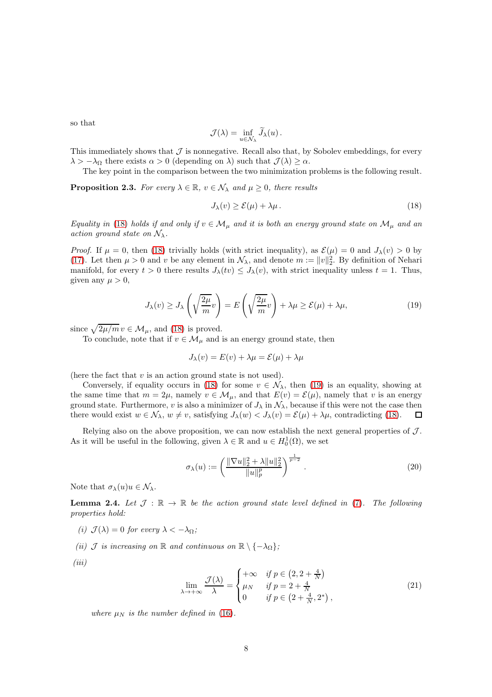so that

$$
\mathcal{J}(\lambda) = \inf_{u \in \mathcal{N}_{\lambda}} \widetilde{J}_{\lambda}(u).
$$

This immediately shows that  $\mathcal J$  is nonnegative. Recall also that, by Sobolev embeddings, for every  $\lambda > -\lambda_{\Omega}$  there exists  $\alpha > 0$  (depending on  $\lambda$ ) such that  $\mathcal{J}(\lambda) \geq \alpha$ .

The key point in the comparison between the two minimization problems is the following result.

<span id="page-7-4"></span>**Proposition 2.3.** For every  $\lambda \in \mathbb{R}$ ,  $v \in \mathcal{N}_{\lambda}$  and  $\mu \geq 0$ , there results

<span id="page-7-1"></span>
$$
J_{\lambda}(v) \ge \mathcal{E}(\mu) + \lambda \mu. \tag{18}
$$

Equality in [\(18\)](#page-7-1) holds if and only if  $v \in \mathcal{M}_{\mu}$  and it is both an energy ground state on  $\mathcal{M}_{\mu}$  and an action ground state on  $\mathcal{N}_{\lambda}$ .

*Proof.* If  $\mu = 0$ , then [\(18\)](#page-7-1) trivially holds (with strict inequality), as  $\mathcal{E}(\mu) = 0$  and  $J_{\lambda}(v) > 0$  by [\(17\)](#page-6-1). Let then  $\mu > 0$  and v be any element in  $\mathcal{N}_{\lambda}$ , and denote  $m := ||v||_2^2$ . By definition of Nehari manifold, for every  $t > 0$  there results  $J_{\lambda}(tv) \leq J_{\lambda}(v)$ , with strict inequality unless  $t = 1$ . Thus, given any  $\mu > 0$ ,

<span id="page-7-2"></span>
$$
J_{\lambda}(v) \ge J_{\lambda}\left(\sqrt{\frac{2\mu}{m}}v\right) = E\left(\sqrt{\frac{2\mu}{m}}v\right) + \lambda\mu \ge \mathcal{E}(\mu) + \lambda\mu,
$$
\n(19)

since  $\sqrt{2\mu/m} v \in \mathcal{M}_{\mu}$ , and [\(18\)](#page-7-1) is proved.

To conclude, note that if  $v \in \mathcal{M}_{\mu}$  and is an energy ground state, then

$$
J_{\lambda}(v) = E(v) + \lambda \mu = \mathcal{E}(\mu) + \lambda \mu
$$

(here the fact that  $v$  is an action ground state is not used).

Conversely, if equality occurs in [\(18\)](#page-7-1) for some  $v \in \mathcal{N}_{\lambda}$ , then [\(19\)](#page-7-2) is an equality, showing at the same time that  $m = 2\mu$ , namely  $v \in M_\mu$ , and that  $E(v) = \mathcal{E}(\mu)$ , namely that v is an energy ground state. Furthermore, v is also a minimizer of  $J_{\lambda}$  in  $\mathcal{N}_{\lambda}$ , because if this were not the case then<br>there would exist  $w \in \mathcal{N}_{\lambda}$ ,  $w \neq v$ , satisfying  $J_{\lambda}(w) < J_{\lambda}(v) = \mathcal{E}(\mu) + \lambda \mu$ , contradicting (18) there would exist  $w \in \mathcal{N}_{\lambda}$ ,  $w \neq v$ , satisfying  $J_{\lambda}(w) < J_{\lambda}(v) = \mathcal{E}(\mu) + \lambda \mu$ , contradicting [\(18\)](#page-7-1).

Relying also on the above proposition, we can now establish the next general properties of  $\mathcal{J}$ . As it will be useful in the following, given  $\lambda \in \mathbb{R}$  and  $u \in H_0^1(\Omega)$ , we set

<span id="page-7-3"></span>
$$
\sigma_{\lambda}(u) := \left(\frac{\|\nabla u\|_{2}^{2} + \lambda \|u\|_{2}^{2}}{\|u\|_{p}^{p}}\right)^{\frac{1}{p-2}}.
$$
\n(20)

Note that  $\sigma_{\lambda}(u)u \in \mathcal{N}_{\lambda}$ .

<span id="page-7-0"></span>**Lemma 2.4.** Let  $\mathcal{J}: \mathbb{R} \to \mathbb{R}$  be the action ground state level defined in [\(7\)](#page-1-0). The following properties hold:

- (i)  $\mathcal{J}(\lambda) = 0$  for every  $\lambda < -\lambda_{\Omega}$ ;
- (ii)  $\mathcal J$  is increasing on  $\mathbb R$  and continuous on  $\mathbb R \setminus \{-\lambda_{\Omega}\}\$ ;

 $(iii)$ 

$$
\lim_{\lambda \to +\infty} \frac{\mathcal{J}(\lambda)}{\lambda} = \begin{cases} +\infty & \text{if } p \in \left(2, 2 + \frac{4}{N}\right) \\ \mu_N & \text{if } p = 2 + \frac{4}{N} \\ 0 & \text{if } p \in \left(2 + \frac{4}{N}, 2^*\right), \end{cases} \tag{21}
$$

where  $\mu_N$  is the number defined in [\(16\)](#page-6-0).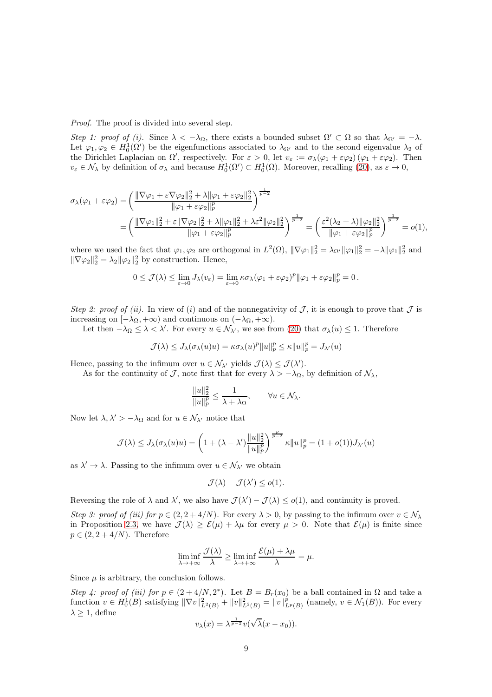Proof. The proof is divided into several step.

Step 1: proof of (i). Since  $\lambda < -\lambda_{\Omega}$ , there exists a bounded subset  $\Omega' \subset \Omega$  so that  $\lambda_{\Omega'} = -\lambda$ . Let  $\varphi_1, \varphi_2 \in H_0^1(\Omega')$  be the eigenfunctions associated to  $\lambda_{\Omega'}$  and to the second eigenvalue  $\lambda_2$  of the Dirichlet Laplacian on  $\Omega'$ , respectively. For  $\varepsilon > 0$ , let  $v_{\varepsilon} := \sigma_{\lambda}(\varphi_1 + \varepsilon \varphi_2) (\varphi_1 + \varepsilon \varphi_2)$ . Then  $v_{\varepsilon} \in \mathcal{N}_{\lambda}$  by definition of  $\sigma_{\lambda}$  and because  $H_0^1(\Omega') \subset H_0^1(\Omega)$ . Moreover, recalling [\(20\)](#page-7-3), as  $\varepsilon \to 0$ ,

$$
\sigma_{\lambda}(\varphi_1 + \varepsilon \varphi_2) = \left(\frac{\|\nabla \varphi_1 + \varepsilon \nabla \varphi_2\|_2^2 + \lambda \|\varphi_1 + \varepsilon \varphi_2\|_2^2}{\|\varphi_1 + \varepsilon \varphi_2\|_p^p}\right)^{\frac{1}{p-2}} \n= \left(\frac{\|\nabla \varphi_1\|_2^2 + \varepsilon \|\nabla \varphi_2\|_2^2 + \lambda \|\varphi_1\|_2^2 + \lambda \varepsilon^2 \|\varphi_2\|_2^2}{\|\varphi_1 + \varepsilon \varphi_2\|_p^p}\right)^{\frac{1}{p-2}} = \left(\frac{\varepsilon^2 (\lambda_2 + \lambda) \|\varphi_2\|_2^2}{\|\varphi_1 + \varepsilon \varphi_2\|_p^p}\right)^{\frac{1}{p-2}} = o(1),
$$

where we used the fact that  $\varphi_1, \varphi_2$  are orthogonal in  $L^2(\Omega)$ ,  $\|\nabla \varphi_1\|_2^2 = \lambda_{\Omega'} \|\varphi_1\|_2^2 = -\lambda \|\varphi_1\|_2^2$  and  $\|\nabla \varphi_2\|_2^2 = \lambda_2 \|\varphi_2\|_2^2$  by construction. Hence,

$$
0 \leq \mathcal{J}(\lambda) \leq \lim_{\varepsilon \to 0} J_{\lambda}(v_{\varepsilon}) = \lim_{\varepsilon \to 0} \kappa \sigma_{\lambda}(\varphi_1 + \varepsilon \varphi_2)^p \|\varphi_1 + \varepsilon \varphi_2\|_p^p = 0.
$$

Step 2: proof of (ii). In view of (i) and of the nonnegativity of  $J$ , it is enough to prove that  $J$  is increasing on  $[-\lambda_{\Omega}, +\infty)$  and continuous on  $(-\lambda_{\Omega}, +\infty)$ .

Let then  $-\lambda_{\Omega} \leq \lambda < \lambda'$ . For every  $u \in \mathcal{N}_{\lambda'}$ , we see from [\(20\)](#page-7-3) that  $\sigma_{\lambda}(u) \leq 1$ . Therefore

$$
\mathcal{J}(\lambda) \leq J_{\lambda}(\sigma_{\lambda}(u)u) = \kappa \sigma_{\lambda}(u)^p \|u\|_p^p \leq \kappa \|u\|_p^p = J_{\lambda'}(u)
$$

Hence, passing to the infimum over  $u \in \mathcal{N}_{\lambda'}$  yields  $\mathcal{J}(\lambda) \leq \mathcal{J}(\lambda')$ .

As for the continuity of J, note first that for every  $\lambda > -\lambda_{\Omega}$ , by definition of  $\mathcal{N}_{\lambda}$ ,

$$
\frac{\|u\|_2^2}{\|u\|_p^p} \le \frac{1}{\lambda + \lambda_\Omega}, \qquad \forall u \in \mathcal{N}_\lambda.
$$

Now let  $\lambda, \lambda' > -\lambda_{\Omega}$  and for  $u \in \mathcal{N}_{\lambda'}$  notice that

$$
\mathcal{J}(\lambda) \leq J_{\lambda}(\sigma_{\lambda}(u)u) = \left(1 + (\lambda - \lambda') \frac{\|u\|_2^2}{\|u\|_p^p}\right)^{\frac{p}{p-2}} \kappa \|u\|_p^p = (1 + o(1))J_{\lambda'}(u)
$$

as  $\lambda' \to \lambda$ . Passing to the infimum over  $u \in \mathcal{N}_{\lambda'}$  we obtain

$$
\mathcal{J}(\lambda) - \mathcal{J}(\lambda') \leq o(1).
$$

Reversing the role of  $\lambda$  and  $\lambda'$ , we also have  $\mathcal{J}(\lambda') - \mathcal{J}(\lambda) \leq o(1)$ , and continuity is proved.

Step 3: proof of (iii) for  $p \in (2, 2 + 4/N)$ . For every  $\lambda > 0$ , by passing to the infimum over  $v \in \mathcal{N}_{\lambda}$ in Proposition [2.3,](#page-7-4) we have  $\mathcal{J}(\lambda) \geq \mathcal{E}(\mu) + \lambda \mu$  for every  $\mu > 0$ . Note that  $\mathcal{E}(\mu)$  is finite since  $p \in (2, 2+4/N)$ . Therefore

$$
\liminf_{\lambda \to +\infty} \frac{\mathcal{J}(\lambda)}{\lambda} \ge \liminf_{\lambda \to +\infty} \frac{\mathcal{E}(\mu) + \lambda \mu}{\lambda} = \mu.
$$

Since  $\mu$  is arbitrary, the conclusion follows.

Step 4: proof of (iii) for  $p \in (2+4/N, 2^*)$ . Let  $B = B_r(x_0)$  be a ball contained in  $\Omega$  and take a function  $v \in H_0^1(B)$  satisfying  $\|\nabla v\|_{L^2(B)}^2 + \|v\|_{L^2(B)}^2 = \|v\|_{L^p(B)}^p$  (namely,  $v \in \mathcal{N}_1(B)$ ). For every  $\lambda \geq 1$ , define 1

$$
v_{\lambda}(x)=\lambda^{\frac{1}{p-2}}v(\sqrt{\lambda}(x-x_0)).
$$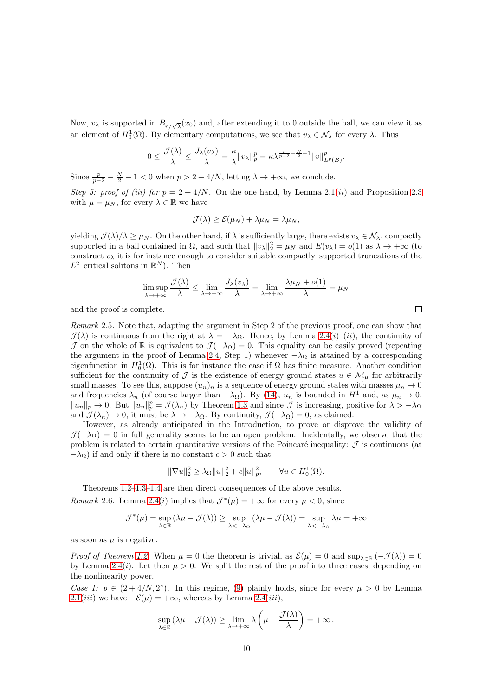Now,  $v_\lambda$  is supported in  $B_{r/\sqrt{\lambda}}(x_0)$  and, after extending it to 0 outside the ball, we can view it as an element of  $H_0^1(\Omega)$ . By elementary computations, we see that  $v_\lambda \in \mathcal{N}_\lambda$  for every  $\lambda$ . Thus

$$
0 \le \frac{\mathcal{J}(\lambda)}{\lambda} \le \frac{J_{\lambda}(v_{\lambda})}{\lambda} = \frac{\kappa}{\lambda} ||v_{\lambda}||_{p}^{p} = \kappa \lambda^{\frac{p}{p-2} - \frac{N}{2} - 1} ||v||_{L^{p}(B)}^{p}
$$

.

Since  $\frac{p}{p-2} - \frac{N}{2} - 1 < 0$  when  $p > 2 + 4/N$ , letting  $\lambda \to +\infty$ , we conclude.

Step 5: proof of (iii) for  $p = 2 + 4/N$ . On the one hand, by Lemma [2.1\(](#page-5-3)ii) and Proposition [2.3](#page-7-4) with  $\mu = \mu_N$ , for every  $\lambda \in \mathbb{R}$  we have

$$
\mathcal{J}(\lambda) \geq \mathcal{E}(\mu_N) + \lambda \mu_N = \lambda \mu_N,
$$

yielding  $\mathcal{J}(\lambda)/\lambda \geq \mu_N$ . On the other hand, if  $\lambda$  is sufficiently large, there exists  $v_\lambda \in \mathcal{N}_\lambda$ , compactly supported in a ball contained in  $\Omega$ , and such that  $||v_\lambda||_2^2 = \mu_N$  and  $E(v_\lambda) = o(1)$  as  $\lambda \to +\infty$  (to construct  $v_{\lambda}$  it is for instance enough to consider suitable compactly–supported truncations of the  $L^2$ -critical solitons in  $\mathbb{R}^N$ ). Then

$$
\limsup_{\lambda \to +\infty} \frac{\mathcal{J}(\lambda)}{\lambda} \le \lim_{\lambda \to +\infty} \frac{J_{\lambda}(v_{\lambda})}{\lambda} = \lim_{\lambda \to +\infty} \frac{\lambda \mu_N + o(1)}{\lambda} = \mu_N
$$

and the proof is complete.

<span id="page-9-1"></span>Remark 2.5. Note that, adapting the argument in Step 2 of the previous proof, one can show that  $\mathcal{J}(\lambda)$  is continuous from the right at  $\lambda = -\lambda_{\Omega}$ . Hence, by Lemma [2.4\(](#page-7-0)i)–(ii), the continuity of J on the whole of R is equivalent to  $\mathcal{J}(-\lambda_{\Omega})=0$ . This equality can be easily proved (repeating the argument in the proof of Lemma [2.4,](#page-7-0) Step 1) whenever  $-\lambda_{\Omega}$  is attained by a corresponding eigenfunction in  $H_0^1(\Omega)$ . This is for instance the case if  $\Omega$  has finite measure. Another condition sufficient for the continuity of  $\mathcal J$  is the existence of energy ground states  $u \in \mathcal M_\mu$  for arbitrarily small masses. To see this, suppose  $(u_n)_n$  is a sequence of energy ground states with masses  $\mu_n \to 0$ and frequencies  $\lambda_n$  (of course larger than  $-\lambda_{\Omega}$ ). By [\(14\)](#page-5-1),  $u_n$  is bounded in  $H^1$  and, as  $\mu_n \to 0$ ,  $||u_n||_p \to 0$ . But  $||u_n||_p^p = \mathcal{J}(\lambda_n)$  by Theorem [1.3](#page-2-2) and since  $\mathcal{J}$  is increasing, positive for  $\lambda > -\lambda_{\Omega}$ and  $\mathcal{J}(\lambda_n) \to 0$ , it must be  $\lambda \to -\lambda_{\Omega}$ . By continuity,  $\mathcal{J}(-\lambda_{\Omega}) = 0$ , as claimed.

However, as already anticipated in the Introduction, to prove or disprove the validity of  $\mathcal{J}(-\lambda_{\Omega})=0$  in full generality seems to be an open problem. Incidentally, we observe that the problem is related to certain quantitative versions of the Poincaré inequality:  $J$  is continuous (at  $-\lambda_{\Omega}$ ) if and only if there is no constant  $c > 0$  such that

$$
\|\nabla u\|_2^2 \ge \lambda_{\Omega} \|u\|_2^2 + c \|u\|_p^2, \qquad \forall u \in H_0^1(\Omega).
$$

Theorems [1.2–](#page-2-1)[1.3](#page-2-2)[–1.4](#page-3-0) are then direct consequences of the above results.

<span id="page-9-0"></span>*Remark* 2.6. Lemma [2.4\(](#page-7-0)*i*) implies that  $\mathcal{J}^*(\mu) = +\infty$  for every  $\mu < 0$ , since

$$
\mathcal{J}^*(\mu) = \sup_{\lambda \in \mathbb{R}} (\lambda \mu - \mathcal{J}(\lambda)) \ge \sup_{\lambda \le -\lambda_{\Omega}} (\lambda \mu - \mathcal{J}(\lambda)) = \sup_{\lambda \le -\lambda_{\Omega}} \lambda \mu = +\infty
$$

as soon as  $\mu$  is negative.

Proof of Theorem [1.2.](#page-2-1) When  $\mu = 0$  the theorem is trivial, as  $\mathcal{E}(\mu) = 0$  and  $\sup_{\lambda \in \mathbb{R}} (-\mathcal{J}(\lambda)) = 0$ by Lemma [2.4\(](#page-7-0)*i*). Let then  $\mu > 0$ . We split the rest of the proof into three cases, depending on the nonlinearity power.

Case 1:  $p \in (2+4/N, 2^*)$ . In this regime, [\(9\)](#page-2-0) plainly holds, since for every  $\mu > 0$  by Lemma [2.1\(](#page-5-3)*iii*) we have  $-\mathcal{E}(\mu) = +\infty$ , whereas by Lemma [2.4\(](#page-7-0)*iii*),

$$
\sup_{\lambda \in \mathbb{R}} (\lambda \mu - \mathcal{J}(\lambda)) \ge \lim_{\lambda \to +\infty} \lambda \left( \mu - \frac{\mathcal{J}(\lambda)}{\lambda} \right) = +\infty.
$$

 $\Box$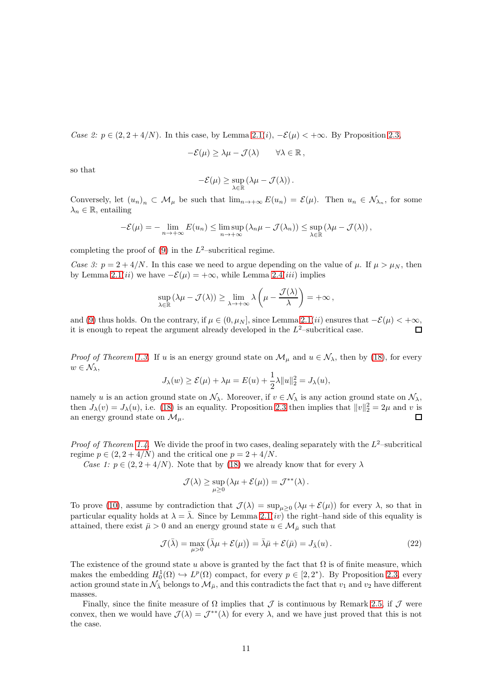Case 2:  $p \in (2, 2 + 4/N)$ . In this case, by Lemma [2.1\(](#page-5-3)i),  $-\mathcal{E}(\mu) < +\infty$ . By Proposition [2.3,](#page-7-4)

$$
-\mathcal{E}(\mu) \geq \lambda \mu - \mathcal{J}(\lambda) \qquad \forall \lambda \in \mathbb{R},
$$

so that

$$
-\mathcal{E}(\mu) \geq \sup_{\lambda \in \mathbb{R}} \left( \lambda \mu - \mathcal{J}(\lambda) \right).
$$

Conversely, let  $(u_n)_n \subset \mathcal{M}_\mu$  be such that  $\lim_{n \to +\infty} E(u_n) = \mathcal{E}(\mu)$ . Then  $u_n \in \mathcal{N}_{\lambda_n}$ , for some  $\lambda_n \in \mathbb{R}$ , entailing

$$
-\mathcal{E}(\mu) = -\lim_{n \to +\infty} E(u_n) \le \limsup_{n \to +\infty} (\lambda_n \mu - \mathcal{J}(\lambda_n)) \le \sup_{\lambda \in \mathbb{R}} (\lambda \mu - \mathcal{J}(\lambda)),
$$

completing the proof of  $(9)$  in the  $L^2$ -subcritical regime.

Case 3:  $p = 2 + 4/N$ . In this case we need to argue depending on the value of  $\mu$ . If  $\mu > \mu_N$ , then by Lemma [2.1\(](#page-5-3)*ii*) we have  $-\mathcal{E}(\mu) = +\infty$ , while Lemma [2.4\(](#page-7-0)*iii*) implies

$$
\sup_{\lambda \in \mathbb{R}} (\lambda \mu - \mathcal{J}(\lambda)) \ge \lim_{\lambda \to +\infty} \lambda \left( \mu - \frac{\mathcal{J}(\lambda)}{\lambda} \right) = +\infty,
$$

and [\(9\)](#page-2-0) thus holds. On the contrary, if  $\mu \in (0, \mu_N]$ , since Lemma [2.1\(](#page-5-3)*ii*) ensures that  $-\mathcal{E}(\mu) < +\infty$ , it is enough to repeat the argument already developed in the  $L^2$ -subcritical case it is enough to repeat the argument already developed in the  $L^2$ -subcritical case.

*Proof of Theorem [1.3.](#page-2-2)* If u is an energy ground state on  $\mathcal{M}_{\mu}$  and  $u \in \mathcal{N}_{\lambda}$ , then by [\(18\)](#page-7-1), for every  $w \in \mathcal{N}_{\lambda},$ 

$$
J_{\lambda}(w) \ge \mathcal{E}(\mu) + \lambda \mu = E(u) + \frac{1}{2}\lambda \|u\|_{2}^{2} = J_{\lambda}(u),
$$

namely u is an action ground state on  $\mathcal{N}_{\lambda}$ . Moreover, if  $v \in \mathcal{N}_{\lambda}$  is any action ground state on  $\mathcal{N}_{\lambda}$ , then  $J_{\lambda}(v) = J_{\lambda}(u)$ , i.e. [\(18\)](#page-7-1) is an equality. Proposition [2.3](#page-7-4) then implies that  $||v||_2^2 = 2\mu$  and v is an energy ground state on  $\mathcal{M}_{\mu}$ . П

*Proof of Theorem [1.4.](#page-3-0)* We divide the proof in two cases, dealing separately with the  $L^2$ -subcritical regime  $p \in (2, 2 + 4/N)$  and the critical one  $p = 2 + 4/N$ .

Case 1:  $p \in (2, 2 + 4/N)$ . Note that by [\(18\)](#page-7-1) we already know that for every  $\lambda$ 

$$
\mathcal{J}(\lambda) \ge \sup_{\mu \ge 0} (\lambda \mu + \mathcal{E}(\mu)) = \mathcal{J}^{**}(\lambda).
$$

To prove [\(10\)](#page-3-2), assume by contradiction that  $\mathcal{J}(\lambda) = \sup_{\mu \geq 0} (\lambda \mu + \mathcal{E}(\mu))$  for every  $\lambda$ , so that in particular equality holds at  $\lambda = \overline{\lambda}$ . Since by Lemma [2.1\(](#page-5-3)*iv*) the right–hand side of this equality is attained, there exist  $\bar{\mu} > 0$  and an energy ground state  $u \in \mathcal{M}_{\bar{\mu}}$  such that

<span id="page-10-0"></span>
$$
\mathcal{J}(\bar{\lambda}) = \max_{\mu > 0} \left( \bar{\lambda}\mu + \mathcal{E}(\mu) \right) = \bar{\lambda}\bar{\mu} + \mathcal{E}(\bar{\mu}) = J_{\bar{\lambda}}(u). \tag{22}
$$

The existence of the ground state u above is granted by the fact that  $\Omega$  is of finite measure, which makes the embedding  $H_0^1(\Omega) \hookrightarrow L^p(\Omega)$  compact, for every  $p \in [2, 2^*)$ . By Proposition [2.3,](#page-7-4) every action ground state in  $\mathcal{N}_{\bar{\lambda}}$  belongs to  $\mathcal{M}_{\bar{\mu}}$ , and this contradicts the fact that  $v_1$  and  $v_2$  have different masses.

Finally, since the finite measure of  $\Omega$  implies that  $\mathcal J$  is continuous by Remark [2.5,](#page-9-1) if  $\mathcal J$  were convex, then we would have  $\mathcal{J}(\lambda) = \mathcal{J}^{**}(\lambda)$  for every  $\lambda$ , and we have just proved that this is not the case.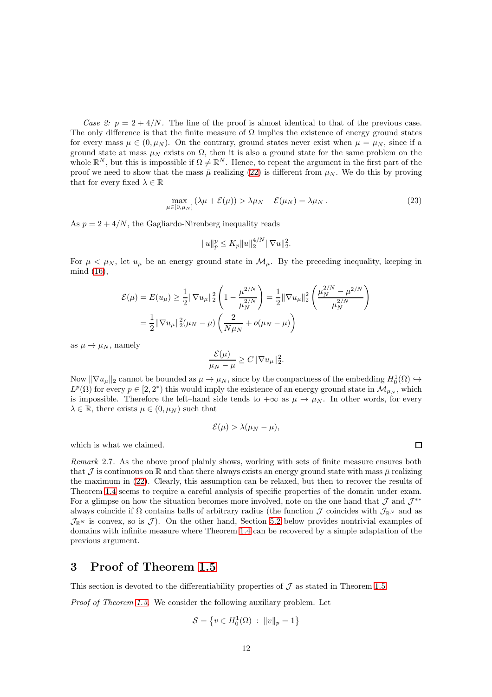Case 2:  $p = 2 + 4/N$ . The line of the proof is almost identical to that of the previous case. The only difference is that the finite measure of  $\Omega$  implies the existence of energy ground states for every mass  $\mu \in (0, \mu_N)$ . On the contrary, ground states never exist when  $\mu = \mu_N$ , since if a ground state at mass  $\mu_N$  exists on  $\Omega$ , then it is also a ground state for the same problem on the whole  $\mathbb{R}^N$ , but this is impossible if  $\Omega \neq \mathbb{R}^N$ . Hence, to repeat the argument in the first part of the proof we need to show that the mass  $\bar{\mu}$  realizing [\(22\)](#page-10-0) is different from  $\mu_N$ . We do this by proving that for every fixed  $\lambda \in \mathbb{R}$ 

$$
\max_{\mu \in [0,\mu_N]} (\lambda \mu + \mathcal{E}(\mu)) > \lambda \mu_N + \mathcal{E}(\mu_N) = \lambda \mu_N.
$$
 (23)

As  $p = 2 + 4/N$ , the Gagliardo-Nirenberg inequality reads

$$
||u||_p^p \le K_p ||u||_2^{4/N} ||\nabla u||_2^2.
$$

For  $\mu < \mu_N$ , let  $u_\mu$  be an energy ground state in  $\mathcal{M}_\mu$ . By the preceding inequality, keeping in mind [\(16\)](#page-6-0),

$$
\mathcal{E}(\mu) = E(u_{\mu}) \ge \frac{1}{2} ||\nabla u_{\mu}||_2^2 \left(1 - \frac{\mu^{2/N}}{\mu_N^{2/N}}\right) = \frac{1}{2} ||\nabla u_{\mu}||_2^2 \left(\frac{\mu_N^{2/N} - \mu^{2/N}}{\mu_N^{2/N}}\right)
$$

$$
= \frac{1}{2} ||\nabla u_{\mu}||_2^2 (\mu_N - \mu) \left(\frac{2}{N\mu_N} + o(\mu_N - \mu)\right)
$$

as  $\mu \rightarrow \mu_N$ , namely

$$
\frac{\mathcal{E}(\mu)}{\mu_N - \mu} \ge C ||\nabla u_\mu||_2^2.
$$

Now  $\|\nabla u_\mu\|_2$  cannot be bounded as  $\mu \to \mu_N$ , since by the compactness of the embedding  $H_0^1(\Omega) \to$  $L^p(\Omega)$  for every  $p \in [2, 2^*)$  this would imply the existence of an energy ground state in  $\mathcal{M}_{\mu_N}$ , which is impossible. Therefore the left–hand side tends to  $+\infty$  as  $\mu \to \mu_N$ . In other words, for every  $\lambda \in \mathbb{R}$ , there exists  $\mu \in (0, \mu_N)$  such that

$$
\mathcal{E}(\mu) > \lambda(\mu_N - \mu),
$$

which is what we claimed.

<span id="page-11-0"></span>Remark 2.7. As the above proof plainly shows, working with sets of finite measure ensures both that J is continuous on R and that there always exists an energy ground state with mass  $\bar{\mu}$  realizing the maximum in [\(22\)](#page-10-0). Clearly, this assumption can be relaxed, but then to recover the results of Theorem [1.4](#page-3-0) seems to require a careful analysis of specific properties of the domain under exam. For a glimpse on how the situation becomes more involved, note on the one hand that  $\mathcal J$  and  $\mathcal J^{**}$ always coincide if  $\Omega$  contains balls of arbitrary radius (the function  $\mathcal J$  coincides with  $\mathcal J_{\mathbb R^N}$  and as  $\mathcal{J}_{\mathbb{R}^N}$  is convex, so is  $\mathcal{J}$ ). On the other hand, Section [5.2](#page-17-0) below provides nontrivial examples of domains with infinite measure where Theorem [1.4](#page-3-0) can be recovered by a simple adaptation of the previous argument.

### <span id="page-11-1"></span>3 Proof of Theorem [1.5](#page-4-2)

This section is devoted to the differentiability properties of  $\mathcal J$  as stated in Theorem [1.5.](#page-4-2)

Proof of Theorem [1.5.](#page-4-2) We consider the following auxiliary problem. Let

$$
S = \left\{ v \in H_0^1(\Omega) \; : \; \|v\|_p = 1 \right\}
$$

 $\Box$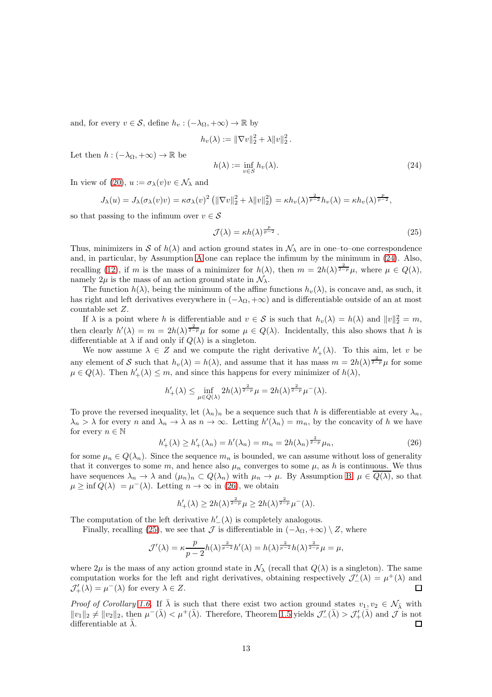and, for every  $v \in \mathcal{S}$ , define  $h_v : (-\lambda_{\Omega}, +\infty) \to \mathbb{R}$  by

$$
h_v(\lambda) := \|\nabla v\|_2^2 + \lambda \|v\|_2^2.
$$

Let then  $h : (-\lambda_{\Omega}, +\infty) \to \mathbb{R}$  be

<span id="page-12-0"></span>
$$
h(\lambda) := \inf_{v \in S} h_v(\lambda). \tag{24}
$$

In view of [\(20\)](#page-7-3),  $u := \sigma_{\lambda}(v)v \in \mathcal{N}_{\lambda}$  and

$$
J_{\lambda}(u) = J_{\lambda}(\sigma_{\lambda}(v)v) = \kappa \sigma_{\lambda}(v)^{2} \left( \|\nabla v\|_{2}^{2} + \lambda \|v\|_{2}^{2} \right) = \kappa h_{v}(\lambda)^{\frac{2}{p-2}} h_{v}(\lambda) = \kappa h_{v}(\lambda)^{\frac{p}{p-2}},
$$

so that passing to the infimum over  $v \in \mathcal{S}$ 

<span id="page-12-2"></span>
$$
\mathcal{J}(\lambda) = \kappa h(\lambda)^{\frac{p}{p-2}}.
$$
\n(25)

Thus, minimizers in S of  $h(\lambda)$  and action ground states in  $\mathcal{N}_{\lambda}$  are in one–to–one correspondence and, in particular, by Assumption [A](#page-3-1) one can replace the infimum by the minimum in [\(24\)](#page-12-0). Also, recalling [\(12\)](#page-3-3), if m is the mass of a minimizer for  $h(\lambda)$ , then  $m = 2h(\lambda)^{\frac{2}{2-p}}\mu$ , where  $\mu \in Q(\lambda)$ , namely  $2\mu$  is the mass of an action ground state in  $\mathcal{N}_{\lambda}$ .

The function  $h(\lambda)$ , being the minimum of the affine functions  $h_v(\lambda)$ , is concave and, as such, it has right and left derivatives everywhere in  $(-\lambda_{\Omega}, +\infty)$  and is differentiable outside of an at most countable set Z.

If  $\lambda$  is a point where h is differentiable and  $v \in S$  is such that  $h_v(\lambda) = h(\lambda)$  and  $||v||_2^2 = m$ , then clearly  $h'(\lambda) = m = 2h(\lambda)^{\frac{2}{2-p}}\mu$  for some  $\mu \in Q(\lambda)$ . Incidentally, this also shows that h is differentiable at  $\lambda$  if and only if  $Q(\lambda)$  is a singleton.

We now assume  $\lambda \in \mathbb{Z}$  and we compute the right derivative  $h'_{+}(\lambda)$ . To this aim, let v be any element of S such that  $h_v(\lambda) = h(\lambda)$ , and assume that it has mass  $m = 2h(\lambda)^{\frac{2}{2-p}}\mu$  for some  $\mu \in Q(\lambda)$ . Then  $h'_{+}(\lambda) \leq m$ , and since this happens for every minimizer of  $h(\lambda)$ ,

$$
h'_{+}(\lambda) \le \inf_{\mu \in Q(\lambda)} 2h(\lambda)^{\frac{2}{2-p}} \mu = 2h(\lambda)^{\frac{2}{2-p}} \mu^{-}(\lambda).
$$

To prove the reversed inequality, let  $(\lambda_n)_n$  be a sequence such that h is differentiable at every  $\lambda_n$ ,  $\lambda_n > \lambda$  for every n and  $\lambda_n \to \lambda$  as  $n \to \infty$ . Letting  $h'(\lambda_n) = m_n$ , by the concavity of h we have for every  $n \in \mathbb{N}$ 

<span id="page-12-1"></span>
$$
h'_{+}(\lambda) \ge h'_{+}(\lambda_{n}) = h'(\lambda_{n}) = m_{n} = 2h(\lambda_{n})^{\frac{2}{2-p}}\mu_{n},
$$
\n(26)

for some  $\mu_n \in Q(\lambda_n)$ . Since the sequence  $m_n$  is bounded, we can assume without loss of generality that it converges to some m, and hence also  $\mu_n$  converges to some  $\mu$ , as h is continuous. We thus have sequences  $\lambda_n \to \lambda$  and  $(\mu_n)_n \subset Q(\lambda_n)$  with  $\mu_n \to \mu$ . By Assumption [B,](#page-4-0)  $\mu \in \overline{Q(\lambda)}$ , so that  $\mu \ge \inf Q(\lambda) = \mu^-(\lambda)$ . Letting  $n \to \infty$  in [\(26\)](#page-12-1), we obtain

$$
h'_{+}(\lambda) \ge 2h(\lambda)^{\frac{2}{2-p}}\mu \ge 2h(\lambda)^{\frac{2}{2-p}}\mu^{-}(\lambda).
$$

The computation of the left derivative  $h'_{-}(\lambda)$  is completely analogous.

Finally, recalling [\(25\)](#page-12-2), we see that J is differentiable in  $(-\lambda_{\Omega}, +\infty) \setminus Z$ , where

$$
\mathcal{J}'(\lambda) = \kappa \frac{p}{p-2} h(\lambda)^{\frac{2}{p-2}} h'(\lambda) = h(\lambda)^{\frac{2}{p-2}} h(\lambda)^{\frac{2}{2-p}} \mu = \mu,
$$

where  $2\mu$  is the mass of any action ground state in  $\mathcal{N}_{\lambda}$  (recall that  $Q(\lambda)$  is a singleton). The same computation works for the left and right derivatives, obtaining respectively  $\mathcal{J}'_{-}(\lambda) = \mu^{+}(\lambda)$  and  $\Box$  $\mathcal{J}'_+(\lambda) = \mu^-(\lambda)$  for every  $\lambda \in Z$ .

*Proof of Corollary [1.6.](#page-4-4)* If  $\overline{\lambda}$  is such that there exist two action ground states  $v_1, v_2 \in \mathcal{N}_{\overline{\lambda}}$  with  $||v_1||_2 \neq ||v_2||_2$ , then  $\mu^-(\bar{\lambda}) < \mu^+(\bar{\lambda})$ . Therefore, Theorem [1.5](#page-4-2) yields  $\mathcal{J}'_-(\bar{\lambda}) > \mathcal{J}'_+(\bar{\lambda})$  and  $\mathcal{J}$  is not differentiable at  $\lambda$ .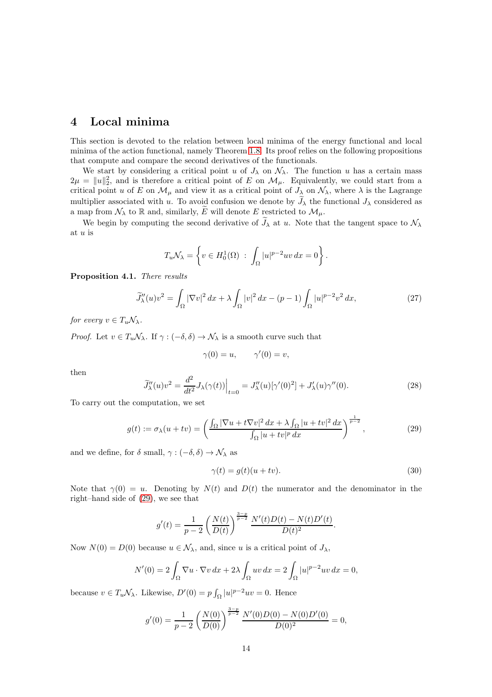# <span id="page-13-0"></span>4 Local minima

This section is devoted to the relation between local minima of the energy functional and local minima of the action functional, namely Theorem [1.8.](#page-4-3) Its proof relies on the following propositions that compute and compare the second derivatives of the functionals.

We start by considering a critical point u of  $J_{\lambda}$  on  $\mathcal{N}_{\lambda}$ . The function u has a certain mass  $2\mu = ||u||_2^2$ , and is therefore a critical point of E on  $\mathcal{M}_{\mu}$ . Equivalently, we could start from a critical point u of E on  $\mathcal{M}_{\mu}$  and view it as a critical point of  $J_{\lambda}$  on  $\mathcal{N}_{\lambda}$ , where  $\lambda$  is the Lagrange multiplier associated with u. To avoid confusion we denote by  $J_{\lambda}$  the functional  $J_{\lambda}$  considered as a map from  $\mathcal{N}_{\lambda}$  to R and, similarly, E will denote E restricted to  $\mathcal{M}_{\mu}$ .

We begin by computing the second derivative of  $\widetilde{J}_{\lambda}$  at u. Note that the tangent space to  $\mathcal{N}_{\lambda}$ at u is

$$
T_u \mathcal{N}_\lambda = \left\{ v \in H_0^1(\Omega) \; : \; \int_{\Omega} |u|^{p-2} uv \, dx = 0 \right\}.
$$

Proposition 4.1. There results

<span id="page-13-4"></span>
$$
\widetilde{J}_{\lambda}^{"}(u)v^{2} = \int_{\Omega} |\nabla v|^{2} dx + \lambda \int_{\Omega} |v|^{2} dx - (p-1) \int_{\Omega} |u|^{p-2} v^{2} dx,
$$
\n(27)

for every  $v \in T_u \mathcal{N}_\lambda$ .

*Proof.* Let  $v \in T_u\mathcal{N}_\lambda$ . If  $\gamma : (-\delta, \delta) \to \mathcal{N}_\lambda$  is a smooth curve such that

$$
\gamma(0) = u, \qquad \gamma'(0) = v,
$$

then

<span id="page-13-3"></span>
$$
\widetilde{J}_{\lambda}''(u)v^2 = \frac{d^2}{dt^2} J_{\lambda}(\gamma(t)) \Big|_{t=0} = J_{\lambda}''(u) [\gamma'(0)^2] + J_{\lambda}'(u) \gamma''(0). \tag{28}
$$

To carry out the computation, we set

<span id="page-13-1"></span>
$$
g(t) := \sigma_{\lambda}(u + tv) = \left(\frac{\int_{\Omega} |\nabla u + t\nabla v|^2 dx + \lambda \int_{\Omega} |u + tv|^2 dx}{\int_{\Omega} |u + tv|^p dx}\right)^{\frac{1}{p-2}},\tag{29}
$$

and we define, for  $\delta$  small,  $\gamma : (-\delta, \delta) \to \mathcal{N}_{\lambda}$  as

<span id="page-13-2"></span>
$$
\gamma(t) = g(t)(u + tv). \tag{30}
$$

Note that  $\gamma(0) = u$ . Denoting by  $N(t)$  and  $D(t)$  the numerator and the denominator in the right–hand side of [\(29\)](#page-13-1), we see that

$$
g'(t) = \frac{1}{p-2} \left( \frac{N(t)}{D(t)} \right)^{\frac{3-p}{p-2}} \frac{N'(t)D(t) - N(t)D'(t)}{D(t)^2}.
$$

Now  $N(0) = D(0)$  because  $u \in \mathcal{N}_{\lambda}$ , and, since u is a critical point of  $J_{\lambda}$ ,

$$
N'(0) = 2 \int_{\Omega} \nabla u \cdot \nabla v \, dx + 2\lambda \int_{\Omega} uv \, dx = 2 \int_{\Omega} |u|^{p-2} uv \, dx = 0,
$$

because  $v \in T_u \mathcal{N}_\lambda$ . Likewise,  $D'(0) = p \int_{\Omega} |u|^{p-2} uv = 0$ . Hence

$$
g'(0) = \frac{1}{p-2} \left( \frac{N(0)}{D(0)} \right)^{\frac{3-p}{p-2}} \frac{N'(0)D(0) - N(0)D'(0)}{D(0)^2} = 0,
$$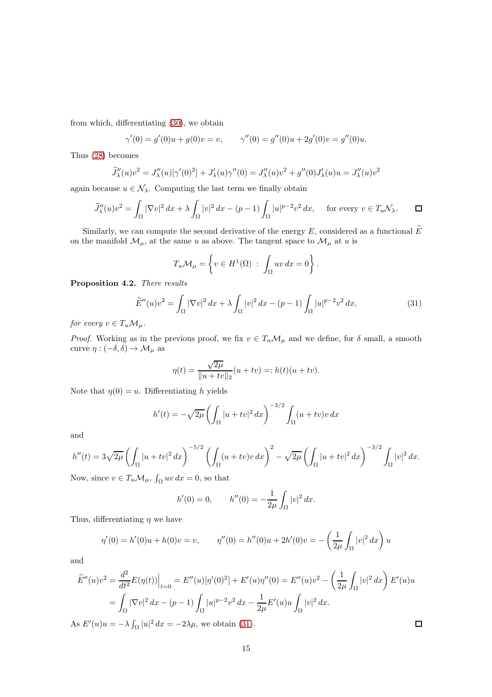from which, differentiating [\(30\)](#page-13-2), we obtain

$$
\gamma'(0) = g'(0)u + g(0)v = v, \qquad \gamma''(0) = g''(0)u + 2g'(0)v = g''(0)u.
$$

Thus [\(28\)](#page-13-3) becomes

$$
\widetilde{J}_{\lambda}''(u)v^{2} = J_{\lambda}''(u)[\gamma'(0)^{2}] + J_{\lambda}'(u)\gamma''(0) = J_{\lambda}''(u)v^{2} + g''(0)J_{\lambda}'(u)u = J_{\lambda}''(u)v^{2}
$$

again because  $u \in \mathcal{N}_{\lambda}$ . Computing the last term we finally obtain

$$
\widetilde{J}_{\lambda}''(u)v^2 = \int_{\Omega} |\nabla v|^2 dx + \lambda \int_{\Omega} |v|^2 dx - (p-1) \int_{\Omega} |u|^{p-2} v^2 dx, \quad \text{ for every } v \in T_u \mathcal{N}_{\lambda}. \qquad \Box
$$

Similarly, we can compute the second derivative of the energy E, considered as a functional  $\widetilde{E}$ on the manifold  $\mathcal{M}_\mu,$  at the same  $u$  as above. The tangent space to  $\mathcal{M}_\mu$  at  $u$  is

$$
T_u \mathcal{M}_\mu = \left\{ v \in H^1(\Omega) \; : \; \int_{\Omega} uv \, dx = 0 \right\}.
$$

Proposition 4.2. There results

<span id="page-14-0"></span>
$$
\widetilde{E}''(u)v^2 = \int_{\Omega} |\nabla v|^2 dx + \lambda \int_{\Omega} |v|^2 dx - (p-1) \int_{\Omega} |u|^{p-2} v^2 dx,
$$
\n(31)

for every  $v \in T_u \mathcal{M}_\mu$ .

*Proof.* Working as in the previous proof, we fix  $v \in T_u \mathcal{M}_\mu$  and we define, for  $\delta$  small, a smooth curve  $\eta : (-\delta, \delta) \to \mathcal{M}_{\mu}$  as

$$
\eta(t) = \frac{\sqrt{2\mu}}{\|u + tv\|_2} (u + tv) =: h(t)(u + tv).
$$

Note that  $\eta(0) = u$ . Differentiating h yields

$$
h'(t) = -\sqrt{2\mu} \left( \int_{\Omega} |u+tv|^2 dx \right)^{-3/2} \int_{\Omega} (u+tv)v dx
$$

and

$$
h''(t) = 3\sqrt{2\mu} \left( \int_{\Omega} |u+tv|^2 dx \right)^{-5/2} \left( \int_{\Omega} (u+tv)v dx \right)^2 - \sqrt{2\mu} \left( \int_{\Omega} |u+tv|^2 dx \right)^{-3/2} \int_{\Omega} |v|^2 dx.
$$
  
Now since  $v \in T$ .  $M$ .  $\int_{\Omega} u v dx = 0$  so that

Now, since  $v \in T_u \mathcal{M}_\mu$ ,  $\int_{\Omega} uv \, dx = 0$ , so that

$$
h'(0) = 0,
$$
  $h''(0) = -\frac{1}{2\mu} \int_{\Omega} |v|^2 dx.$ 

Thus, differentiating  $\eta$  we have

$$
\eta'(0) = h'(0)u + h(0)v = v, \qquad \eta''(0) = h''(0)u + 2h'(0)v = -\left(\frac{1}{2\mu} \int_{\Omega} |v|^2 dx\right)u
$$

and

$$
\widetilde{E}''(u)v^2 = \frac{d^2}{dt^2} E(\eta(t))\Big|_{t=0} = E''(u)[\eta'(0)^2] + E'(u)\eta''(0) = E''(u)v^2 - \left(\frac{1}{2\mu}\int_{\Omega}|v|^2 dx\right)E'(u)u
$$
  
\n
$$
= \int_{\Omega} |\nabla v|^2 dx - (p-1)\int_{\Omega} |u|^{p-2}v^2 dx - \frac{1}{2\mu}E'(u)u\int_{\Omega} |v|^2 dx.
$$

As  $E'(u)u = -\lambda \int_{\Omega} |u|^2 dx = -2\lambda \mu$ , we obtain [\(31\)](#page-14-0).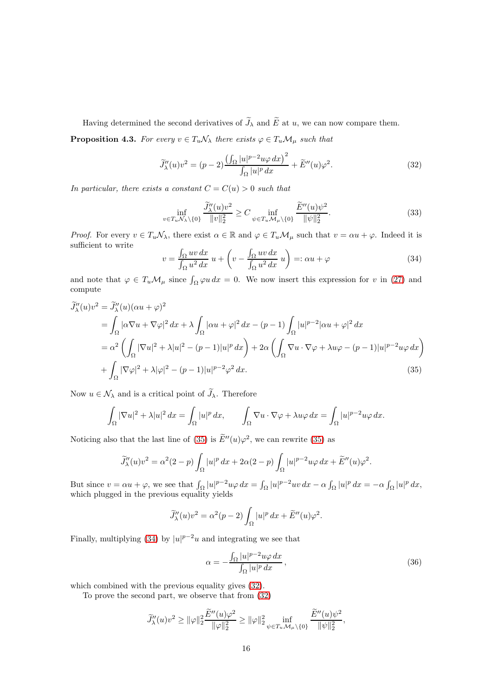Having determined the second derivatives of  $\widetilde{J}_{\lambda}$  and  $\widetilde{E}$  at u, we can now compare them.

**Proposition 4.3.** For every  $v \in T_u \mathcal{N}_\lambda$  there exists  $\varphi \in T_u \mathcal{M}_\mu$  such that

<span id="page-15-2"></span>
$$
\widetilde{J}_{\lambda}^{"}(u)v^{2} = (p-2)\frac{\left(\int_{\Omega} |u|^{p-2}u\varphi \,dx\right)^{2}}{\int_{\Omega} |u|^{p} \,dx} + \widetilde{E}^{"}(u)\varphi^{2}.
$$
\n(32)

In particular, there exists a constant  $C = C(u) > 0$  such that

<span id="page-15-4"></span>
$$
\inf_{v \in T_u \mathcal{N}_\lambda \setminus \{0\}} \frac{\widetilde{J}_\lambda''(u)v^2}{\|v\|_2^2} \ge C \inf_{\psi \in T_u \mathcal{M}_\mu \setminus \{0\}} \frac{\widetilde{E}''(u)\psi^2}{\|\psi\|_2^2}.\tag{33}
$$

*Proof.* For every  $v \in T_u\mathcal{N}_\lambda$ , there exist  $\alpha \in \mathbb{R}$  and  $\varphi \in T_u\mathcal{M}_\mu$  such that  $v = \alpha u + \varphi$ . Indeed it is sufficient to write

<span id="page-15-1"></span>
$$
v = \frac{\int_{\Omega} uv \, dx}{\int_{\Omega} u^2 \, dx} \, u + \left( v - \frac{\int_{\Omega} uv \, dx}{\int_{\Omega} u^2 \, dx} \, u \right) =: \alpha u + \varphi \tag{34}
$$

and note that  $\varphi \in T_u \mathcal{M}_\mu$  since  $\int_{\Omega} \varphi u \, dx = 0$ . We now insert this expression for v in [\(27\)](#page-13-4) and compute

$$
\widetilde{J}_{\lambda}^{\prime\prime}(u)v^{2} = \widetilde{J}_{\lambda}^{\prime\prime}(u)(\alpha u + \varphi)^{2}
$$
\n
$$
= \int_{\Omega} |\alpha \nabla u + \nabla \varphi|^{2} dx + \lambda \int_{\Omega} |\alpha u + \varphi|^{2} dx - (p - 1) \int_{\Omega} |u|^{p-2} |\alpha u + \varphi|^{2} dx
$$
\n
$$
= \alpha^{2} \left( \int_{\Omega} |\nabla u|^{2} + \lambda |u|^{2} - (p - 1)|u|^{p} dx \right) + 2\alpha \left( \int_{\Omega} \nabla u \cdot \nabla \varphi + \lambda u \varphi - (p - 1)|u|^{p-2} u \varphi dx \right)
$$
\n
$$
+ \int_{\Omega} |\nabla \varphi|^{2} + \lambda |\varphi|^{2} - (p - 1)|u|^{p-2} \varphi^{2} dx. \tag{35}
$$

Now  $u \in \mathcal{N}_{\lambda}$  and is a critical point of  $\widetilde{\mathcal{J}}_{\lambda}$ . Therefore

$$
\int_{\Omega} |\nabla u|^2 + \lambda |u|^2 \, dx = \int_{\Omega} |u|^p \, dx, \qquad \int_{\Omega} \nabla u \cdot \nabla \varphi + \lambda u \varphi \, dx = \int_{\Omega} |u|^{p-2} u \varphi \, dx.
$$

Noticing also that the last line of [\(35\)](#page-15-0) is  $\tilde{E}''(u)\varphi^2$ , we can rewrite (35) as

$$
\widetilde{J}_{\lambda}''(u)v^2 = \alpha^2(2-p)\int_{\Omega}|u|^p dx + 2\alpha(2-p)\int_{\Omega}|u|^{p-2}u\varphi dx + \widetilde{E}''(u)\varphi^2
$$

But since  $v = \alpha u + \varphi$ , we see that  $\int_{\Omega} |u|^{p-2} u \varphi \, dx = \int_{\Omega} |u|^{p-2} u v \, dx - \alpha \int_{\Omega} |u|^{p} dx = -\alpha \int_{\Omega} |u|^{p} dx$ , which plugged in the previous equality yields

$$
\widetilde{J}_{\lambda}^{\prime\prime}(u)v^2 = \alpha^2(p-2)\int_{\Omega}|u|^p dx + \widetilde{E}^{\prime\prime}(u)\varphi^2.
$$

Finally, multiplying [\(34\)](#page-15-1) by  $|u|^{p-2}u$  and integrating we see that

<span id="page-15-3"></span>
$$
\alpha = -\frac{\int_{\Omega} |u|^{p-2} u \varphi \, dx}{\int_{\Omega} |u|^p \, dx},\tag{36}
$$

<span id="page-15-0"></span>.

which combined with the previous equality gives  $(32)$ .

To prove the second part, we observe that from [\(32\)](#page-15-2)

$$
\widetilde{J}_{\lambda}''(u)v^{2} \geq ||\varphi||_{2}^{2} \frac{\widetilde{E}''(u)\varphi^{2}}{||\varphi||_{2}^{2}} \geq ||\varphi||_{2}^{2} \inf_{\psi \in T_{u}\mathcal{M}_{\mu}\setminus\{0\}} \frac{\widetilde{E}''(u)\psi^{2}}{||\psi||_{2}^{2}},
$$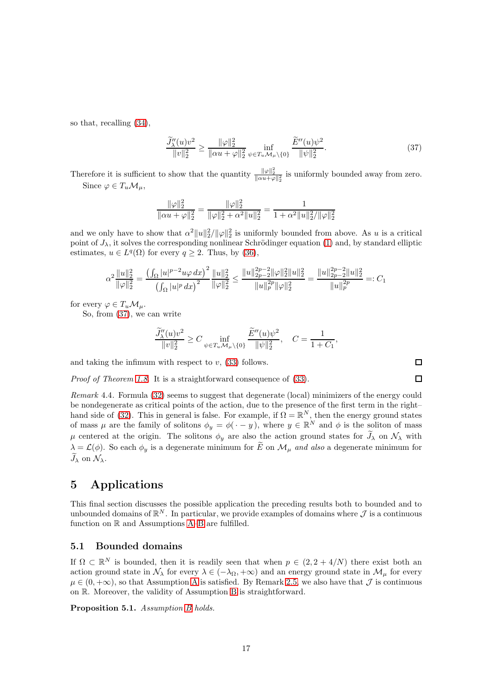so that, recalling [\(34\)](#page-15-1),

<span id="page-16-1"></span>
$$
\frac{\widetilde{J}_{\lambda}''(u)v^2}{\|v\|_2^2} \ge \frac{\|\varphi\|_2^2}{\|\alpha u + \varphi\|_2^2} \max_{\psi \in T_u \mathcal{M}_\mu \setminus \{0\}} \frac{\widetilde{E}''(u)\psi^2}{\|\psi\|_2^2}.
$$
\n(37)

Therefore it is sufficient to show that the quantity  $\frac{\|\varphi\|_2^2}{\|\alpha u+\varphi\|_2^2}$  is uniformly bounded away from zero. Since  $\varphi \in T_u \mathcal{M}_u$ ,

$$
\frac{\|\varphi\|_2^2}{\| \alpha u + \varphi \|_2^2} = \frac{\|\varphi\|_2^2}{\| \varphi \|_2^2 + \alpha^2 \| u \|_2^2} = \frac{1}{1 + \alpha^2 \| u \|_2^2 / \| \varphi \|_2^2}
$$

and we only have to show that  $\alpha^2 ||u||_2^2/||\varphi||_2^2$  is uniformly bounded from above. As u is a critical point of  $J_{\lambda}$ , it solves the corresponding nonlinear Schrödinger equation [\(1\)](#page-0-0) and, by standard elliptic estimates,  $u \in L^q(\Omega)$  for every  $q \ge 2$ . Thus, by [\(36\)](#page-15-3),

$$
\alpha^2 \frac{\|u\|_2^2}{\|\varphi\|_2^2} = \frac{\left(\int_{\Omega} |u|^{p-2} u \varphi \, dx\right)^2}{\left(\int_{\Omega} |u|^p \, dx\right)^2} \frac{\|u\|_2^2}{\|\varphi\|_2^2} \le \frac{\|u\|_{2p-2}^{2p-2} \|\varphi\|_2^2 \|u\|_2^2}{\|u\|_p^{2p} \|\varphi\|_2^2} = \frac{\|u\|_{2p-2}^{2p-2} \|u\|_2^2}{\|u\|_p^{2p}} =: C_1
$$

for every  $\varphi \in T_u \mathcal{M}_u$ .

So, from [\(37\)](#page-16-1), we can write

$$
\frac{\widetilde{J}''_{\lambda}(u)v^2}{\|v\|_2^2} \ge C \inf_{\psi \in T_u \mathcal{M}_{\mu} \setminus \{0\}} \frac{\widetilde{E}''(u)\psi^2}{\|\psi\|_2^2}, \quad C = \frac{1}{1+C_1},
$$

and taking the infimum with respect to  $v$ , [\(33\)](#page-15-4) follows.

Proof of Theorem [1.8.](#page-4-3) It is a straightforward consequence of [\(33\)](#page-15-4).

Remark 4.4. Formula [\(32\)](#page-15-2) seems to suggest that degenerate (local) minimizers of the energy could be nondegenerate as critical points of the action, due to the presence of the first term in the right– hand side of [\(32\)](#page-15-2). This in general is false. For example, if  $\Omega = \mathbb{R}^N$ , then the energy ground states of mass  $\mu$  are the family of solitons  $\phi_y = \phi(\cdot - y)$ , where  $y \in \mathbb{R}^N$  and  $\phi$  is the soliton of mass  $\mu$  centered at the origin. The solitons  $\phi_y$  are also the action ground states for  $\widetilde{J}_\lambda$  on  $\mathcal{N}_\lambda$  with  $\lambda = \mathcal{L}(\phi)$ . So each  $\phi_y$  is a degenerate minimum for  $\widetilde{E}$  on  $\mathcal{M}_{\mu}$  and also a degenerate minimum for  $\widetilde{J}_{\lambda}$  on  $\mathcal{N}_{\lambda}$ .

# <span id="page-16-0"></span>5 Applications

This final section discusses the possible application the preceding results both to bounded and to unbounded domains of  $\mathbb{R}^N$ . In particular, we provide examples of domains where  $\mathcal J$  is a continuous function on  $\mathbb R$  and [A](#page-3-1)ssumptions A[–B](#page-4-0) are fulfilled.

#### 5.1 Bounded domains

If  $\Omega \subset \mathbb{R}^N$  is bounded, then it is readily seen that when  $p \in (2, 2 + 4/N)$  there exist both an action ground state in  $\mathcal{N}_{\lambda}$  for every  $\lambda \in (-\lambda_{\Omega}, +\infty)$  and an energy ground state in  $\mathcal{M}_{\mu}$  for every  $\mu \in (0, +\infty)$ , so that [A](#page-3-1)ssumption A is satisfied. By Remark [2.5,](#page-9-1) we also have that  $\mathcal J$  is continuous on R. Moreover, the validity of Assumption [B](#page-4-0) is straightforward.

<span id="page-16-2"></span>Proposition 5.1. Assumption [B](#page-4-0) holds.

 $\Box$  $\Box$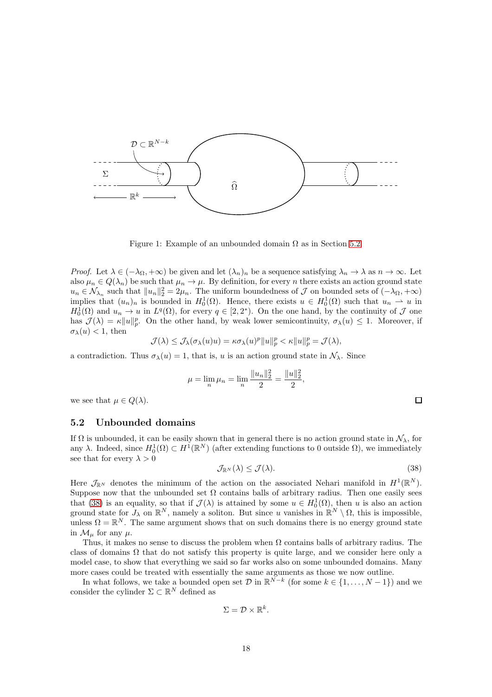<span id="page-17-2"></span>

Figure 1: Example of an unbounded domain  $\Omega$  as in Section [5.2.](#page-17-0)

*Proof.* Let  $\lambda \in (-\lambda_{\Omega}, +\infty)$  be given and let  $(\lambda_n)_n$  be a sequence satisfying  $\lambda_n \to \lambda$  as  $n \to \infty$ . Let also  $\mu_n \in Q(\lambda_n)$  be such that  $\mu_n \to \mu$ . By definition, for every n there exists an action ground state  $u_n \in \mathcal{N}_{\lambda_n}$  such that  $||u_n||_2^2 = 2\mu_n$ . The uniform boundedness of  $\mathcal J$  on bounded sets of  $(-\lambda_{\Omega}, +\infty)$ implies that  $(u_n)_n$  is bounded in  $H_0^1(\Omega)$ . Hence, there exists  $u \in H_0^1(\Omega)$  such that  $u_n \to u$  in  $H_0^1(\Omega)$  and  $u_n \to u$  in  $L^q(\Omega)$ , for every  $q \in [2, 2^*)$ . On the one hand, by the continuity of  $\mathcal J$  one has  $\mathcal{J}(\lambda) = \kappa ||u||_p^p$ . On the other hand, by weak lower semicontinuity,  $\sigma_\lambda(u) \leq 1$ . Moreover, if  $\sigma_{\lambda}(u) < 1$ , then

$$
\mathcal{J}(\lambda) \leq \mathcal{J}_{\lambda}(\sigma_{\lambda}(u)u) = \kappa \sigma_{\lambda}(u)^p \|u\|_p^p < \kappa \|u\|_p^p = \mathcal{J}(\lambda),
$$

a contradiction. Thus  $\sigma_{\lambda}(u) = 1$ , that is, u is an action ground state in  $\mathcal{N}_{\lambda}$ . Since

$$
\mu = \lim_{n} \mu_n = \lim_{n} \frac{\|u_n\|_2^2}{2} = \frac{\|u\|_2^2}{2},
$$

we see that  $\mu \in Q(\lambda)$ .

#### <span id="page-17-0"></span>5.2 Unbounded domains

If  $\Omega$  is unbounded, it can be easily shown that in general there is no action ground state in  $\mathcal{N}_{\lambda}$ , for any  $\lambda$ . Indeed, since  $H_0^1(\Omega) \subset H^1(\mathbb{R}^N)$  (after extending functions to 0 outside  $\Omega$ ), we immediately see that for every  $\lambda > 0$ 

<span id="page-17-1"></span>
$$
\mathcal{J}_{\mathbb{R}^N}(\lambda) \le \mathcal{J}(\lambda). \tag{38}
$$

 $\Box$ 

Here  $\mathcal{J}_{\mathbb{R}^N}$  denotes the minimum of the action on the associated Nehari manifold in  $H^1(\mathbb{R}^N)$ . Suppose now that the unbounded set  $\Omega$  contains balls of arbitrary radius. Then one easily sees that [\(38\)](#page-17-1) is an equality, so that if  $\mathcal{J}(\lambda)$  is attained by some  $u \in H_0^1(\Omega)$ , then u is also an action ground state for  $J_\lambda$  on  $\mathbb{R}^N$ , namely a soliton. But since u vanishes in  $\mathbb{R}^N \setminus \Omega$ , this is impossible, unless  $\Omega = \mathbb{R}^N$ . The same argument shows that on such domains there is no energy ground state in  $\mathcal{M}_{\mu}$  for any  $\mu$ .

Thus, it makes no sense to discuss the problem when  $\Omega$  contains balls of arbitrary radius. The class of domains  $\Omega$  that do not satisfy this property is quite large, and we consider here only a model case, to show that everything we said so far works also on some unbounded domains. Many more cases could be treated with essentially the same arguments as those we now outline.

In what follows, we take a bounded open set  $\mathcal{D}$  in  $\mathbb{R}^{N-k}$  (for some  $k \in \{1, ..., N-1\}$ ) and we consider the cylinder  $\Sigma \subset \mathbb{R}^N$  defined as

$$
\Sigma=\mathcal{D}\times\mathbb{R}^k.
$$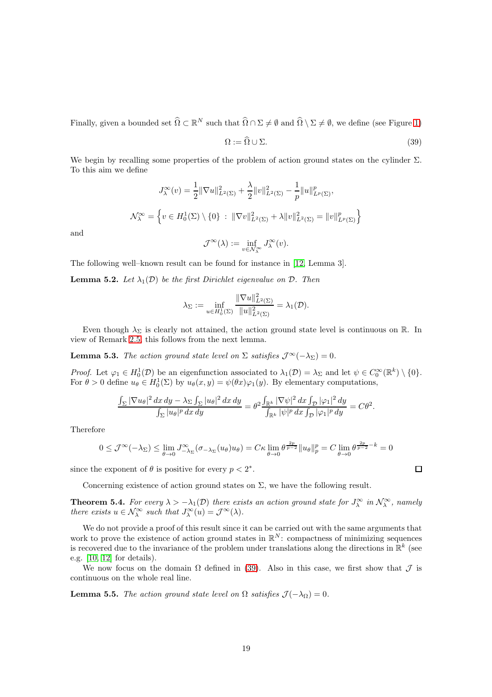Finally, given a bounded set  $\widehat{\Omega} \subset \mathbb{R}^N$  such that  $\widehat{\Omega} \cap \Sigma \neq \emptyset$  and  $\widehat{\Omega} \setminus \Sigma \neq \emptyset$ , we define (see Figure [1\)](#page-17-2)

<span id="page-18-0"></span>
$$
\Omega := \widehat{\Omega} \cup \Sigma. \tag{39}
$$

We begin by recalling some properties of the problem of action ground states on the cylinder  $\Sigma$ . To this aim we define

$$
J_{\lambda}^{\infty}(v) = \frac{1}{2} \|\nabla u\|_{L^{2}(\Sigma)}^{2} + \frac{\lambda}{2} \|v\|_{L^{2}(\Sigma)}^{2} - \frac{1}{p} \|u\|_{L^{p}(\Sigma)}^{p},
$$
  

$$
\mathcal{N}_{\lambda}^{\infty} = \left\{ v \in H_{0}^{1}(\Sigma) \setminus \{0\} : \|\nabla v\|_{L^{2}(\Sigma)}^{2} + \lambda \|v\|_{L^{2}(\Sigma)}^{2} = \|v\|_{L^{p}(\Sigma)}^{p} \right\}
$$
  

$$
\mathcal{J}^{\infty}(\lambda) := \inf_{v \in \mathcal{N}_{\lambda}^{\infty}} J_{\lambda}^{\infty}(v).
$$

and

The following well–known result can be found for instance in 
$$
[12, \text{Lemma } 3]
$$
.

<span id="page-18-2"></span>**Lemma 5.2.** Let  $\lambda_1(\mathcal{D})$  be the first Dirichlet eigenvalue on  $\mathcal{D}$ . Then

$$
\lambda_{\Sigma}:=\inf_{u\in H^1_0(\Sigma)}\frac{\|\nabla u\|^2_{L^2(\Sigma)}}{\|u\|^2_{L^2(\Sigma)}}=\lambda_1(\mathcal{D}).
$$

Even though  $\lambda_{\Sigma}$  is clearly not attained, the action ground state level is continuous on R. In view of Remark [2.5,](#page-9-1) this follows from the next lemma.

<span id="page-18-1"></span>**Lemma 5.3.** The action ground state level on  $\Sigma$  satisfies  $\mathcal{J}^{\infty}(-\lambda_{\Sigma}) = 0$ .

Proof. Let  $\varphi_1 \in H_0^1(\mathcal{D})$  be an eigenfunction associated to  $\lambda_1(\mathcal{D}) = \lambda_{\Sigma}$  and let  $\psi \in C_0^{\infty}(\mathbb{R}^k) \setminus \{0\}.$ For  $\theta > 0$  define  $u_{\theta} \in H_0^1(\Sigma)$  by  $u_{\theta}(x, y) = \psi(\theta x) \varphi_1(y)$ . By elementary computations,

$$
\frac{\int_{\Sigma} |\nabla u_{\theta}|^2 dx dy - \lambda_{\Sigma} \int_{\Sigma} |u_{\theta}|^2 dx dy}{\int_{\Sigma} |u_{\theta}|^p dx dy} = \theta^2 \frac{\int_{\mathbb{R}^k} |\nabla \psi|^2 dx \int_{\mathcal{D}} |\varphi_1|^2 dy}{\int_{\mathbb{R}^k} |\psi|^p dx \int_{\mathcal{D}} |\varphi_1|^p dy} = C\theta^2
$$

Therefore

$$
0 \leq \mathcal{J}^{\infty}(-\lambda_{\Sigma}) \leq \lim_{\theta \to 0} J^{\infty}_{-\lambda_{\Sigma}}(\sigma_{-\lambda_{\Sigma}}(u_{\theta})u_{\theta}) = C\kappa \lim_{\theta \to 0} \theta^{\frac{2p}{p-2}} \|u_{\theta}\|_{p}^{p} = C \lim_{\theta \to 0} \theta^{\frac{2p}{p-2} - k} = 0
$$

since the exponent of  $\theta$  is positive for every  $p < 2^*$ .

Concerning existence of action ground states on  $\Sigma$ , we have the following result.

<span id="page-18-3"></span>**Theorem 5.4.** For every  $\lambda > -\lambda_1(\mathcal{D})$  there exists an action ground state for  $J_\lambda^\infty$  in  $\mathcal{N}_\lambda^\infty$ , namely there exists  $u \in \mathcal{N}_{\lambda}^{\infty}$  such that  $J_{\lambda}^{\infty}(u) = \mathcal{J}^{\infty}(\lambda)$ .

We do not provide a proof of this result since it can be carried out with the same arguments that work to prove the existence of action ground states in  $\mathbb{R}^N$ : compactness of minimizing sequences is recovered due to the invariance of the problem under translations along the directions in  $\mathbb{R}^k$  (see e.g. [\[10,](#page-22-4) [12\]](#page-22-2) for details).

We now focus on the domain  $\Omega$  defined in [\(39\)](#page-18-0). Also in this case, we first show that  $\mathcal J$  is continuous on the whole real line.

**Lemma 5.5.** The action ground state level on  $\Omega$  satisfies  $\mathcal{J}(-\lambda_{\Omega})=0$ .

 $\Box$ 

.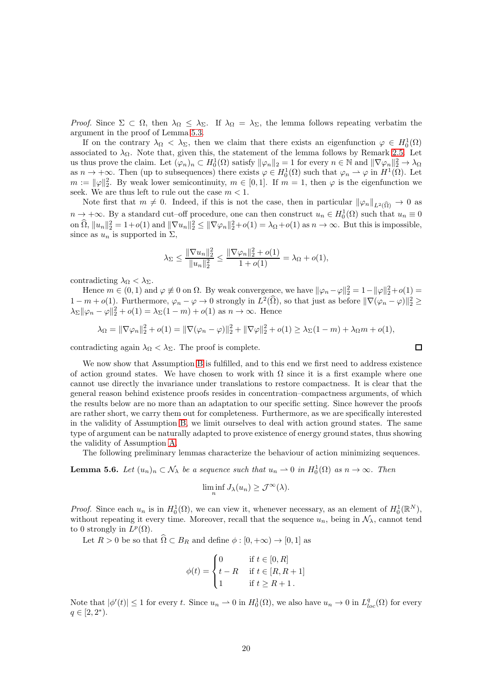Proof. Since  $\Sigma \subset \Omega$ , then  $\lambda_{\Omega} \leq \lambda_{\Sigma}$ . If  $\lambda_{\Omega} = \lambda_{\Sigma}$ , the lemma follows repeating verbatim the argument in the proof of Lemma [5.3.](#page-18-1)

If on the contrary  $\lambda_{\Omega} < \lambda_{\Sigma}$ , then we claim that there exists an eigenfunction  $\varphi \in H_0^1(\Omega)$ associated to  $\lambda_{\Omega}$ . Note that, given this, the statement of the lemma follows by Remark [2.5.](#page-9-1) Let us thus prove the claim. Let  $(\varphi_n)_n \subset H_0^1(\Omega)$  satisfy  $\|\varphi_n\|_2 = 1$  for every  $n \in \mathbb{N}$  and  $\|\nabla \varphi_n\|_2^2 \to \lambda_{\Omega}$ as  $n \to +\infty$ . Then (up to subsequences) there exists  $\varphi \in H_0^1(\Omega)$  such that  $\varphi_n \rightharpoonup \varphi$  in  $H^1(\Omega)$ . Let  $m := ||\varphi||_2^2$ . By weak lower semicontinuity,  $m \in [0, 1]$ . If  $m = 1$ , then  $\varphi$  is the eigenfunction we seek. We are thus left to rule out the case  $m < 1$ .

Note first that  $m \neq 0$ . Indeed, if this is not the case, then in particular  $\|\varphi_n\|_{L^2(\Omega)} \to 0$  as  $n \to +\infty$ . By a standard cut–off procedure, one can then construct  $u_n \in H_0^1(\Omega)$  such that  $u_n \equiv 0$ on  $\hat{\Omega}$ ,  $||u_n||_2^2 = 1+o(1)$  and  $||\nabla u_n||_2^2 \le ||\nabla \varphi_n||_2^2 + o(1) = \lambda_{\Omega} + o(1)$  as  $n \to \infty$ . But this is impossible, since as  $u_n$  is supported in  $\Sigma$ ,

$$
\lambda_{\Sigma} \le \frac{\|\nabla u_n\|_2^2}{\|u_n\|_2^2} \le \frac{\|\nabla \varphi_n\|_2^2 + o(1)}{1 + o(1)} = \lambda_{\Omega} + o(1),
$$

contradicting  $\lambda_{\Omega} < \lambda_{\Sigma}$ .

Hence  $m \in (0, 1)$  and  $\varphi \neq 0$  on  $\Omega$ . By weak convergence, we have  $\|\varphi_n - \varphi\|_2^2 = 1 - \|\varphi\|_2^2 + o(1) =$  $1-m+o(1)$ . Furthermore,  $\varphi_n-\varphi\to 0$  strongly in  $L^2(\Omega)$ , so that just as before  $\|\nabla(\varphi_n-\varphi)\|_2^2\geq$  $\lambda_{\Sigma} \|\varphi_n - \varphi\|_2^2 + o(1) = \lambda_{\Sigma} (1 - m) + o(1)$  as  $n \to \infty$ . Hence

$$
\lambda_{\Omega} = \|\nabla \varphi_n\|_2^2 + o(1) = \|\nabla(\varphi_n - \varphi)\|_2^2 + \|\nabla \varphi\|_2^2 + o(1) \ge \lambda_{\Sigma} (1 - m) + \lambda_{\Omega} m + o(1),
$$

 $\Box$ 

contradicting again  $\lambda_{\Omega} < \lambda_{\Sigma}$ . The proof is complete.

We now show that Assumption [B](#page-4-0) is fulfilled, and to this end we first need to address existence of action ground states. We have chosen to work with  $\Omega$  since it is a first example where one cannot use directly the invariance under translations to restore compactness. It is clear that the general reason behind existence proofs resides in concentration–compactness arguments, of which the results below are no more than an adaptation to our specific setting. Since however the proofs are rather short, we carry them out for completeness. Furthermore, as we are specifically interested in the validity of Assumption [B,](#page-4-0) we limit ourselves to deal with action ground states. The same type of argument can be naturally adapted to prove existence of energy ground states, thus showing the validity of Assumption [A.](#page-3-1)

The following preliminary lemmas characterize the behaviour of action minimizing sequences.

<span id="page-19-0"></span>**Lemma 5.6.** Let  $(u_n)_n \subset \mathcal{N}_\lambda$  be a sequence such that  $u_n \to 0$  in  $H_0^1(\Omega)$  as  $n \to \infty$ . Then

$$
\liminf_{n} J_{\lambda}(u_{n}) \geq \mathcal{J}^{\infty}(\lambda).
$$

*Proof.* Since each  $u_n$  is in  $H_0^1(\Omega)$ , we can view it, whenever necessary, as an element of  $H_0^1(\mathbb{R}^N)$ , without repeating it every time. Moreover, recall that the sequence  $u_n$ , being in  $\mathcal{N}_\lambda$ , cannot tend to 0 strongly in  $L^p(\Omega)$ .

Let  $R > 0$  be so that  $\widehat{\Omega} \subset B_R$  and define  $\phi : [0, +\infty) \to [0, 1]$  as

$$
\phi(t) = \begin{cases} 0 & \text{if } t \in [0, R] \\ t - R & \text{if } t \in [R, R + 1] \\ 1 & \text{if } t \ge R + 1. \end{cases}
$$

Note that  $|\phi'(t)| \leq 1$  for every t. Since  $u_n \to 0$  in  $H_0^1(\Omega)$ , we also have  $u_n \to 0$  in  $L^q_{loc}(\Omega)$  for every  $q \in [2, 2^*).$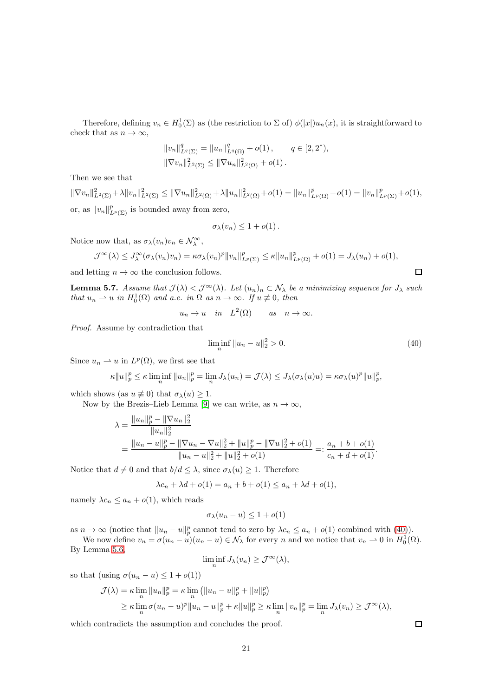Therefore, defining  $v_n \in H_0^1(\Sigma)$  as (the restriction to  $\Sigma$  of)  $\phi(|x|)u_n(x)$ , it is straightforward to check that as  $n \to \infty$ ,

$$
||v_n||_{L^q(\Sigma)}^q = ||u_n||_{L^q(\Omega)}^q + o(1), \qquad q \in [2, 2^*),
$$
  

$$
||\nabla v_n||_{L^2(\Sigma)}^2 \le ||\nabla u_n||_{L^2(\Omega)}^2 + o(1).
$$

Then we see that

 $\|\nabla v_n\|_{L^2(\Sigma)}^2+\lambda\|v_n\|_{L^2(\Sigma)}^2\leq \|\nabla u_n\|_{L^2(\Omega)}^2+\lambda\|u_n\|_{L^2(\Omega)}^2+o(1)=\|u_n\|_{L^p(\Omega)}^p+o(1)=\|v_n\|_{L^p(\Sigma)}^p+o(1),$ or, as  $||v_n||_{L^p(\Sigma)}^p$  is bounded away from zero,

$$
\sigma_{\lambda}(v_n) \leq 1 + o(1).
$$

Notice now that, as  $\sigma_{\lambda}(v_n)v_n \in \mathcal{N}_{\lambda}^{\infty}$ ,

$$
\mathcal{J}^{\infty}(\lambda) \leq J_{\lambda}^{\infty}(\sigma_{\lambda}(v_n)v_n) = \kappa \sigma_{\lambda}(v_n)^p \|v_n\|_{L^p(\Sigma)}^p \leq \kappa \|u_n\|_{L^p(\Omega)}^p + o(1) = J_{\lambda}(u_n) + o(1),
$$

and letting  $n \to \infty$  the conclusion follows.

<span id="page-20-1"></span>**Lemma 5.7.** Assume that  $\mathcal{J}(\lambda) < \mathcal{J}^{\infty}(\lambda)$ . Let  $(u_n)_n \subset \mathcal{N}_{\lambda}$  be a minimizing sequence for  $J_{\lambda}$  such that  $u_n \rightharpoonup u$  in  $H_0^1(\Omega)$  and a.e. in  $\Omega$  as  $n \to \infty$ . If  $u \not\equiv 0$ , then

$$
u_n \to u
$$
 in  $L^2(\Omega)$  as  $n \to \infty$ .

Proof. Assume by contradiction that

<span id="page-20-0"></span>
$$
\liminf_{n} \|u_n - u\|_2^2 > 0. \tag{40}
$$

Since  $u_n \rightharpoonup u$  in  $L^p(\Omega)$ , we first see that

$$
\kappa \|u\|_p^p \leq \kappa \liminf_n \|u_n\|_p^p = \lim_n J_\lambda(u_n) = \mathcal{J}(\lambda) \leq J_\lambda(\sigma_\lambda(u)u) = \kappa \sigma_\lambda(u)^p \|u\|_p^p,
$$

which shows (as  $u \neq 0$ ) that  $\sigma_{\lambda}(u) \geq 1$ .

Now by the Brezis–Lieb Lemma [\[9\]](#page-22-13) we can write, as  $n \to \infty$ ,

$$
\lambda = \frac{||u_n||_p^p - ||\nabla u_n||_2^2}{||u_n||_2^2}
$$
  
= 
$$
\frac{||u_n - u||_p^p - ||\nabla u_n - \nabla u||_2^2 + ||u||_p^p - ||\nabla u||_2^2 + o(1)}{||u_n - u||_2^2 + ||u||_2^2 + o(1)} =: \frac{a_n + b + o(1)}{c_n + d + o(1)}.
$$

Notice that  $d \neq 0$  and that  $b/d \leq \lambda$ , since  $\sigma_{\lambda}(u) \geq 1$ . Therefore

$$
\lambda c_n + \lambda d + o(1) = a_n + b + o(1) \le a_n + \lambda d + o(1),
$$

namely  $\lambda c_n \leq a_n + o(1)$ , which reads

$$
\sigma_{\lambda}(u_n - u) \le 1 + o(1)
$$

as  $n \to \infty$  (notice that  $||u_n - u||_p^p$  cannot tend to zero by  $\lambda c_n \leq a_n + o(1)$  combined with [\(40\)](#page-20-0)).

We now define  $v_n = \sigma(u_n - u)(u_n - u) \in \mathcal{N}_\lambda$  for every n and we notice that  $v_n \to 0$  in  $H_0^1(\Omega)$ . By Lemma [5.6,](#page-19-0)

$$
\liminf_{n} J_{\lambda}(v_n) \ge \mathcal{J}^{\infty}(\lambda),
$$

so that (using  $\sigma(u_n - u) \leq 1 + o(1)$ )

$$
\mathcal{J}(\lambda) = \kappa \lim_{n} \|u_{n}\|_{p}^{p} = \kappa \lim_{n} (||u_{n} - u||_{p}^{p} + ||u||_{p}^{p})
$$
  

$$
\geq \kappa \lim_{n} \sigma (u_{n} - u)^{p} ||u_{n} - u||_{p}^{p} + \kappa ||u||_{p}^{p} \geq \kappa \lim_{n} ||v_{n}||_{p}^{p} = \lim_{n} J_{\lambda}(v_{n}) \geq \mathcal{J}^{\infty}(\lambda),
$$

which contradicts the assumption and concludes the proof.

 $\Box$ 

 $\Box$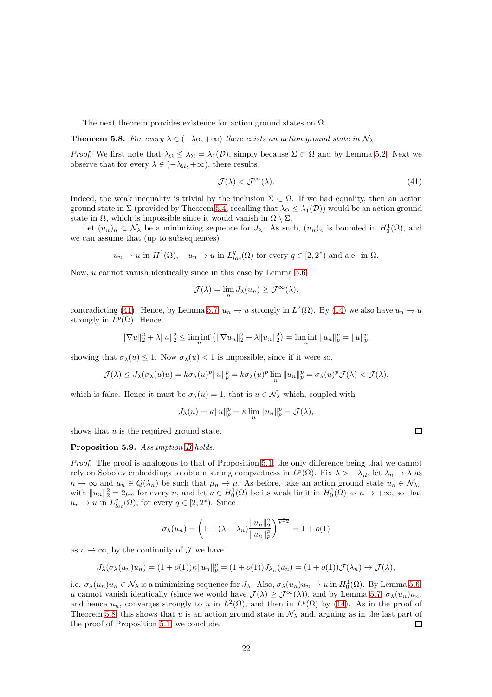The next theorem provides existence for action ground states on  $\Omega$ .

#### <span id="page-21-1"></span>**Theorem 5.8.** For every  $\lambda \in (-\lambda_{\Omega}, +\infty)$  there exists an action ground state in  $\mathcal{N}_{\lambda}$ .

*Proof.* We first note that  $\lambda_{\Omega} \leq \lambda_{\Sigma} = \lambda_1(\mathcal{D})$ , simply because  $\Sigma \subset \Omega$  and by Lemma [5.2.](#page-18-2) Next we observe that for every  $\lambda \in (-\lambda_{\Omega}, +\infty)$ , there results

<span id="page-21-0"></span>
$$
\mathcal{J}(\lambda) < \mathcal{J}^{\infty}(\lambda). \tag{41}
$$

Indeed, the weak inequality is trivial by the inclusion  $\Sigma \subset \Omega$ . If we had equality, then an action ground state in  $\Sigma$  (provided by Theorem [5.4,](#page-18-3) recalling that  $\lambda_{\Omega} \leq \lambda_1(\mathcal{D})$ ) would be an action ground state in  $\Omega$ , which is impossible since it would vanish in  $\Omega \setminus \Sigma$ .

Let  $(u_n)_n \subset \mathcal{N}_\lambda$  be a minimizing sequence for  $J_\lambda$ . As such,  $(u_n)_n$  is bounded in  $H_0^1(\Omega)$ , and we can assume that (up to subsequences)

$$
u_n \rightharpoonup u
$$
 in  $H^1(\Omega)$ ,  $u_n \rightharpoonup u$  in  $L^q_{loc}(\Omega)$  for every  $q \in [2, 2^*)$  and a.e. in  $\Omega$ .

Now, u cannot vanish identically since in this case by Lemma [5.6](#page-19-0)

$$
\mathcal{J}(\lambda) = \lim_{n} J_{\lambda}(u_n) \ge \mathcal{J}^{\infty}(\lambda),
$$

contradicting [\(41\)](#page-21-0). Hence, by Lemma [5.7,](#page-20-1)  $u_n \to u$  strongly in  $L^2(\Omega)$ . By [\(14\)](#page-5-1) we also have  $u_n \to u$ strongly in  $L^p(\Omega)$ . Hence

$$
\|\nabla u\|_{2}^{2} + \lambda \|u\|_{2}^{2} \le \liminf_{n} \left( \|\nabla u_{n}\|_{2}^{2} + \lambda \|u_{n}\|_{2}^{2} \right) = \liminf_{n} \|u_{n}\|_{p}^{p} = \|u\|_{p}^{p},
$$

showing that  $\sigma_{\lambda}(u) \leq 1$ . Now  $\sigma_{\lambda}(u) < 1$  is impossible, since if it were so,

$$
\mathcal{J}(\lambda) \leq J_{\lambda}(\sigma_{\lambda}(u)u) = k\sigma_{\lambda}(u)^p \|u\|_p^p = k\sigma_{\lambda}(u)^p \lim_{n} \|u_n\|_p^p = \sigma_{\lambda}(u)^p \mathcal{J}(\lambda) < \mathcal{J}(\lambda),
$$

which is false. Hence it must be  $\sigma_{\lambda}(u) = 1$ , that is  $u \in \mathcal{N}_{\lambda}$  which, coupled with

$$
J_\lambda(u)=\kappa\|u\|_p^p=\kappa\lim_n\|u_n\|_p^p=\mathcal{J}(\lambda),
$$

shows that  $u$  is the required ground state.

#### Proposition 5.9. Assumption [B](#page-4-0) holds.

Proof. The proof is analogous to that of Proposition [5.1,](#page-16-2) the only difference being that we cannot rely on Sobolev embeddings to obtain strong compactness in  $L^p(\Omega)$ . Fix  $\lambda > -\lambda_{\Omega}$ , let  $\lambda_n \to \lambda$  as  $n \to \infty$  and  $\mu_n \in Q(\lambda_n)$  be such that  $\mu_n \to \mu$ . As before, take an action ground state  $u_n \in \mathcal{N}_{\lambda_n}$ with  $||u_n||_2^2 = 2\mu_n$  for every n, and let  $u \in H_0^1(\Omega)$  be its weak limit in  $H_0^1(\Omega)$  as  $n \to +\infty$ , so that  $u_n \to u$  in  $L^q_{loc}(\Omega)$ , for every  $q \in [2, 2^*)$ . Since

$$
\sigma_{\lambda}(u_n) = \left(1 + (\lambda - \lambda_n) \frac{||u_n||_2^2}{||u_n||_p^p}\right)^{\frac{1}{p-2}} = 1 + o(1)
$$

as  $n \to \infty$ , by the continuity of  $\mathcal{J}$  we have

$$
J_{\lambda}(\sigma_{\lambda}(u_n)u_n)=(1+o(1))\kappa||u_n||_p^p=(1+o(1))J_{\lambda_n}(u_n)=(1+o(1))\mathcal{J}(\lambda_n)\to \mathcal{J}(\lambda),
$$

i.e.  $\sigma_{\lambda}(u_n)u_n \in \mathcal{N}_{\lambda}$  is a minimizing sequence for  $J_{\lambda}$ . Also,  $\sigma_{\lambda}(u_n)u_n \to u$  in  $H_0^1(\Omega)$ . By Lemma [5.6,](#page-19-0) u cannot vanish identically (since we would have  $\mathcal{J}(\lambda) \geq \mathcal{J}^{\infty}(\lambda)$ ), and by Lemma [5.7,](#page-20-1)  $\sigma_{\lambda}(u_n)u_n$ , and hence  $u_n$ , converges strongly to u in  $L^2(\Omega)$ , and then in  $L^p(\Omega)$  by [\(14\)](#page-5-1). As in the proof of Theorem [5.8,](#page-21-1) this shows that u is an action ground state in  $\mathcal{N}_{\lambda}$  and, arguing as in the last part of the proof of Proposition 5.1, we conclude. the proof of Proposition [5.1,](#page-16-2) we conclude.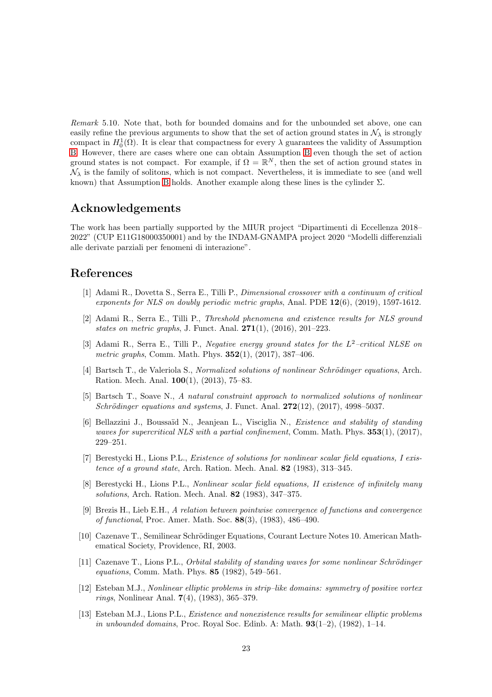<span id="page-22-11"></span>Remark 5.10. Note that, both for bounded domains and for the unbounded set above, one can easily refine the previous arguments to show that the set of action ground states in  $\mathcal{N}_{\lambda}$  is strongly compact in  $H_0^1(\Omega)$ . It is clear that compactness for every  $\lambda$  guarantees the validity of Assumption [B.](#page-4-0) However, there are cases where one can obtain Assumption [B](#page-4-0) even though the set of action ground states is not compact. For example, if  $\Omega = \mathbb{R}^N$ , then the set of action ground states in  $\mathcal{N}_{\lambda}$  is the family of solitons, which is not compact. Nevertheless, it is immediate to see (and well known) that Assumption [B](#page-4-0) holds. Another example along these lines is the cylinder  $\Sigma$ .

#### Acknowledgements

The work has been partially supported by the MIUR project "Dipartimenti di Eccellenza 2018– 2022" (CUP E11G18000350001) and by the INDAM-GNAMPA project 2020 "Modelli differenziali alle derivate parziali per fenomeni di interazione".

### <span id="page-22-5"></span>References

- [1] Adami R., Dovetta S., Serra E., Tilli P., Dimensional crossover with a continuum of critical exponents for NLS on doubly periodic metric graphs, Anal. PDE  $12(6)$ , (2019), 1597-1612.
- <span id="page-22-6"></span>[2] Adami R., Serra E., Tilli P., Threshold phenomena and existence results for NLS ground states on metric graphs, J. Funct. Anal.  $271(1)$ ,  $(2016)$ ,  $201-223$ .
- <span id="page-22-7"></span>[3] Adami R., Serra E., Tilli P., Negative energy ground states for the L<sup>2</sup>-critical NLSE on metric graphs, Comm. Math. Phys. **352**(1), (2017), 387-406.
- <span id="page-22-8"></span>[4] Bartsch T., de Valeriola S., Normalized solutions of nonlinear Schrödinger equations, Arch. Ration. Mech. Anal. 100(1), (2013), 75–83.
- <span id="page-22-9"></span>[5] Bartsch T., Soave N., A natural constraint approach to normalized solutions of nonlinear Schrödinger equations and systems, J. Funct. Anal.  $272(12)$ ,  $(2017)$ , 4998–5037.
- <span id="page-22-10"></span>[6] Bellazzini J., Boussaïd N., Jeanjean L., Visciglia N., *Existence and stability of standing* waves for supercritical NLS with a partial confinement, Comm. Math. Phys.  $353(1)$ ,  $(2017)$ , 229–251.
- <span id="page-22-0"></span>[7] Berestycki H., Lions P.L., Existence of solutions for nonlinear scalar field equations, I existence of a ground state, Arch. Ration. Mech. Anal. 82 (1983), 313–345.
- <span id="page-22-1"></span>[8] Berestycki H., Lions P.L., Nonlinear scalar field equations, II existence of infinitely many solutions, Arch. Ration. Mech. Anal. 82 (1983), 347–375.
- <span id="page-22-13"></span>[9] Brezis H., Lieb E.H., A relation between pointwise convergence of functions and convergence of functional, Proc. Amer. Math. Soc. 88(3), (1983), 486–490.
- <span id="page-22-4"></span>[10] Cazenave T., Semilinear Schrödinger Equations, Courant Lecture Notes 10. American Mathematical Society, Providence, RI, 2003.
- <span id="page-22-12"></span>[11] Cazenave T., Lions P.L., *Orbital stability of standing waves for some nonlinear Schrödinger* equations, Comm. Math. Phys. 85 (1982), 549–561.
- <span id="page-22-2"></span>[12] Esteban M.J., Nonlinear elliptic problems in strip–like domains: symmetry of positive vortex rings, Nonlinear Anal. 7(4), (1983), 365–379.
- <span id="page-22-3"></span>[13] Esteban M.J., Lions P.L., Existence and nonexistence results for semilinear elliptic problems in unbounded domains, Proc. Royal Soc. Edinb. A: Math.  $93(1-2)$ ,  $(1982)$ ,  $1-14$ .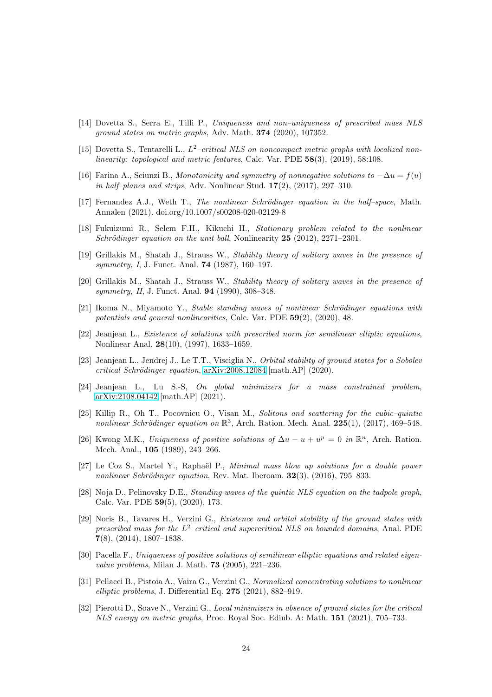- <span id="page-23-9"></span>[14] Dovetta S., Serra E., Tilli P., Uniqueness and non–uniqueness of prescribed mass NLS ground states on metric graphs, Adv. Math. 374 (2020), 107352.
- <span id="page-23-3"></span>[15] Dovetta S., Tentarelli L.,  $L^2$ -critical NLS on noncompact metric graphs with localized nonlinearity: topological and metric features, Calc. Var. PDE 58(3), (2019), 58:108.
- <span id="page-23-0"></span>[16] Farina A., Sciunzi B., Monotonicity and symmetry of nonnegative solutions to  $-\Delta u = f(u)$ in half–planes and strips, Adv. Nonlinear Stud.  $17(2)$ ,  $(2017)$ ,  $297-310$ .
- <span id="page-23-1"></span>[17] Fernandez A.J., Weth T., The nonlinear Schrödinger equation in the half–space, Math. Annalen (2021). doi.org/10.1007/s00208-020-02129-8
- <span id="page-23-14"></span>[18] Fukuizumi R., Selem F.H., Kikuchi H., Stationary problem related to the nonlinear Schrödinger equation on the unit ball, Nonlinearity  $25$  (2012), 2271–2301.
- <span id="page-23-10"></span>[19] Grillakis M., Shatah J., Strauss W., Stability theory of solitary waves in the presence of symmetry, I, J. Funct. Anal. 74 (1987), 160–197.
- <span id="page-23-11"></span>[20] Grillakis M., Shatah J., Strauss W., Stability theory of solitary waves in the presence of symmetry, II, J. Funct. Anal. **94** (1990), 308–348.
- <span id="page-23-4"></span> $[21]$  Ikoma N., Miyamoto Y., Stable standing waves of nonlinear Schrödinger equations with potentials and general nonlinearities, Calc. Var. PDE 59(2), (2020), 48.
- <span id="page-23-2"></span>[22] Jeanjean L., Existence of solutions with prescribed norm for semilinear elliptic equations, Nonlinear Anal. 28(10), (1997), 1633–1659.
- <span id="page-23-15"></span>[23] Jeanjean L., Jendrej J., Le T.T., Visciglia N., Orbital stability of ground states for a Sobolev  $critical Schrödinger equation, arXiv:2008.12084 [math.AP] (2020).$  $critical Schrödinger equation, arXiv:2008.12084 [math.AP] (2020).$  $critical Schrödinger equation, arXiv:2008.12084 [math.AP] (2020).$
- <span id="page-23-18"></span>[24] Jeanjean L., Lu S.-S, On global minimizers for a mass constrained problem, [arXiv:2108.04142](http://arxiv.org/abs/2108.04142) [math.AP] (2021).
- <span id="page-23-16"></span>[25] Killip R., Oh T., Pocovnicu O., Visan M., Solitons and scattering for the cubic–quintic nonlinear Schrödinger equation on  $\mathbb{R}^3$ , Arch. Ration. Mech. Anal. 225(1), (2017), 469-548.
- <span id="page-23-12"></span>[26] Kwong M.K., Uniqueness of positive solutions of  $\Delta u - u + u^p = 0$  in  $\mathbb{R}^n$ , Arch. Ration. Mech. Anal., 105 (1989), 243–266.
- <span id="page-23-17"></span>[27] Le Coz S., Martel Y., Raphaël P., *Minimal mass blow up solutions for a double power* nonlinear Schrödinger equation, Rev. Mat. Iberoam.  $32(3)$ , (2016), 795–833.
- <span id="page-23-5"></span>[28] Noja D., Pelinovsky D.E., Standing waves of the quintic NLS equation on the tadpole graph, Calc. Var. PDE 59(5), (2020), 173.
- <span id="page-23-6"></span>[29] Noris B., Tavares H., Verzini G., Existence and orbital stability of the ground states with prescribed mass for the  $L^2$ -critical and supercritical NLS on bounded domains, Anal. PDE 7(8), (2014), 1807–1838.
- <span id="page-23-13"></span>[30] Pacella F., Uniqueness of positive solutions of semilinear elliptic equations and related eigenvalue problems, Milan J. Math. **73** (2005), 221-236.
- <span id="page-23-7"></span>[31] Pellacci B., Pistoia A., Vaira G., Verzini G., Normalized concentrating solutions to nonlinear elliptic problems, J. Differential Eq. 275 (2021), 882–919.
- <span id="page-23-8"></span>[32] Pierotti D., Soave N., Verzini G., Local minimizers in absence of ground states for the critical NLS energy on metric graphs, Proc. Royal Soc. Edinb. A: Math. 151 (2021), 705–733.